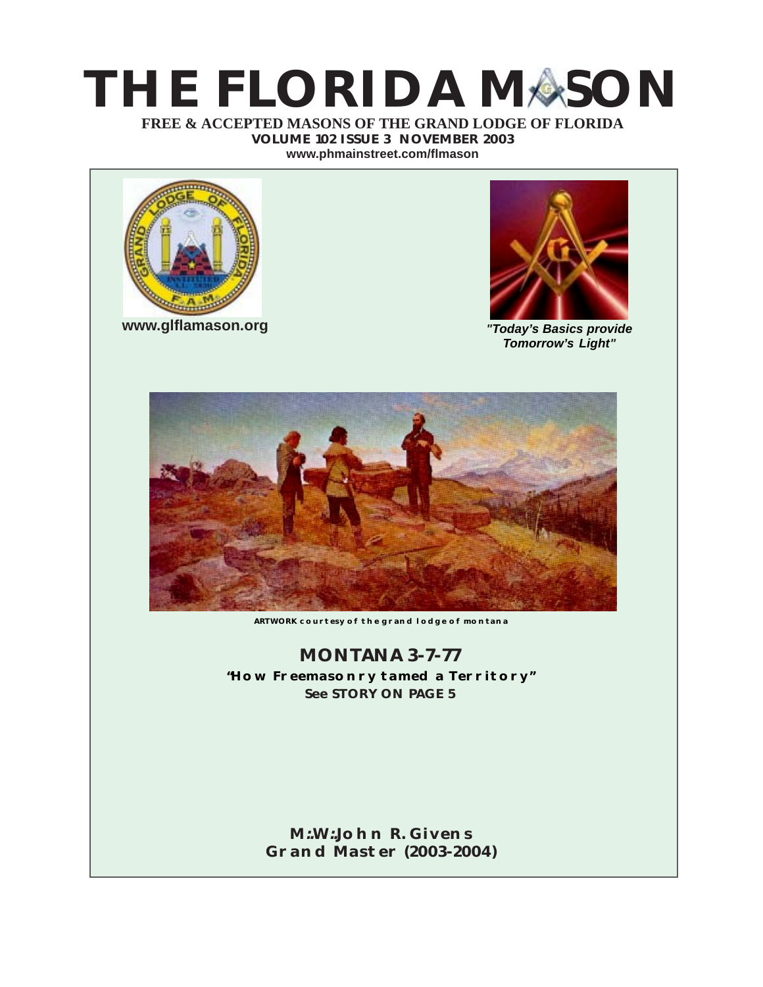# **THE FLORIDA MASON**

**FREE & ACCEPTED MASONS OF THE GRAND LODGE OF FLORIDA VOLUME 102 ISSUE 3 NOVEMBER 2003 [www.phmainstreet.com/flmason](http://www.phmainstreet.com/flmason/)**



**[www.glflamason.org](http://www.glflamason.org/)**



*"Today's Basics provide Tomorrow's Light"*



**ARTWORK courtesy of the grand lodge of montana**

### **MONTANA 3-7-77 "How Freemasonry tamed a Territory" See STORY ON PAGE 5**

### **M:.W:.[John R. Givens](mailto:johgive@aol.com) [Grand Master \(2003-2004\)](mailto:johgive@aol.com)**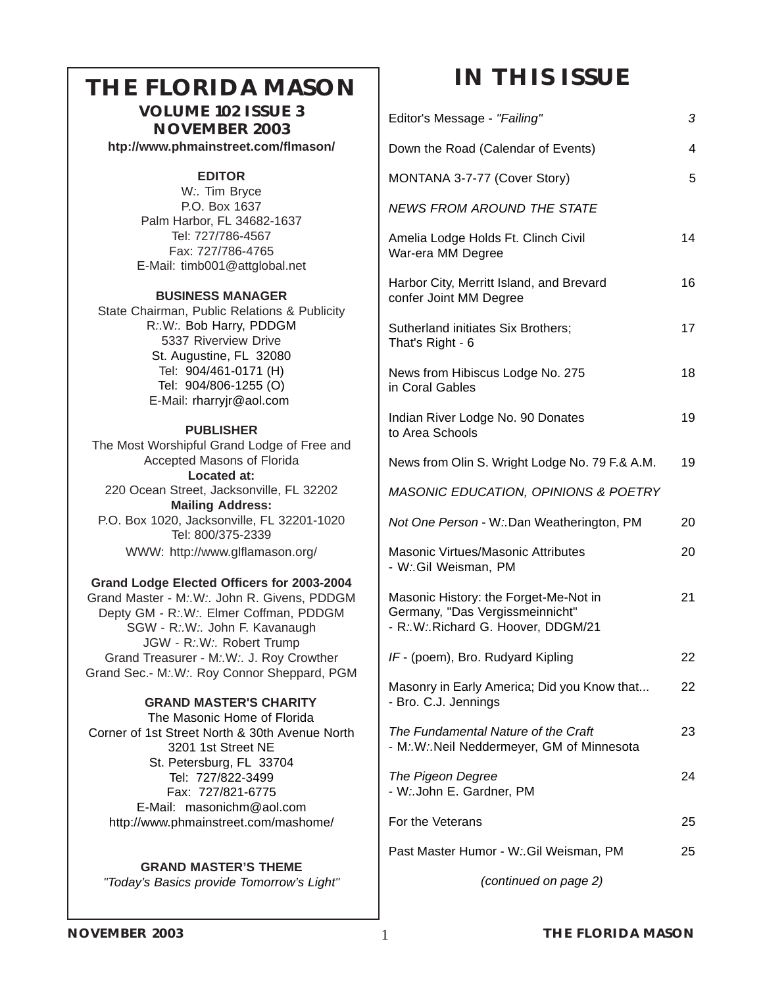## <span id="page-1-0"></span>**THE FLORIDA MASON**

**VOLUME 102 ISSUE 3 NOVEMBER 2003 [htp://www.phmainstreet.com/flmason/](http://www.phmainstreet.com/flmason/)**

### **EDITOR**

W*:.* Tim Bryce P.O. Box 1637 Palm Harbor, FL 34682-1637 Tel: 727/786-4567 Fax: 727/786-4765 E-Mail[: timb001@attglobal.ne](mailto:timb001@attglobal.net)t

### **BUSINESS MANAGER**

State Chairman, Public Relations & Publicity R*:.*W*:.* Bob Harry, PDDGM 5337 Riverview Drive St. Augustine, FL 32080 Tel: 904/461-0171 (H) Tel: 904/806-1255 (O) E-Mail: rharryjr@aol.com

### **PUBLISHER**

The Most Worshipful Grand Lodge of Free and Accepted Masons of Florida **Located at:** 220 Ocean Street, Jacksonville, FL 32202 **Mailing Address:** P.O. Box 1020, Jacksonville, FL 32201-1020 Tel: 800/375-2339 WWW: [http://www.glflamason.org](http://www.glflamason.org/)/

### **Grand Lodge Elected Officers for 2003-2004**

Grand Master - M*:.*W*:.* [John R. Givens, PDDG](mailto:johgive@aol.com)M Depty GM - R*:.*W*:.* [Elmer Coffman, PDDGM](mailto:ecoffman45@aol.com) SGW - R*:.*W*:.* John F. Kavanaugh JGW - R*:.*W*:.* Robert Trump Grand Treasurer - M*:.*W*:.* J. Roy Crowther Grand Sec.- M*:.*W*:.* [Roy Connor Sheppard, PGM](mailto:grsec@glflamason.org)

### **GRAND MASTER'S CHARITY**

 The Masonic Home of Florida Corner of 1st Street North & 30th Avenue North 3201 1st Street NE St. Petersburg, FL 33704 Tel: 727/822-3499 Fax: 727/821-6775 E-Mail: masonichm@aol.com [http://www.phmainstreet.com/mashome/](#page-612-0)

### **GRAND MASTER'S THEME** *"Today's Basics provide Tomorrow's Light"*

## **IN THIS ISSUE**

| Editor's Message - "Failing"                                                                                   | 3  |
|----------------------------------------------------------------------------------------------------------------|----|
| Down the Road (Calendar of Events)                                                                             | 4  |
| MONTANA 3-7-77 (Cover Story)                                                                                   | 5  |
| <b>NEWS FROM AROUND THE STATE</b>                                                                              |    |
| Amelia Lodge Holds Ft. Clinch Civil<br>War-era MM Degree                                                       | 14 |
| Harbor City, Merritt Island, and Brevard<br>confer Joint MM Degree                                             | 16 |
| Sutherland initiates Six Brothers;<br>That's Right - 6                                                         | 17 |
| News from Hibiscus Lodge No. 275<br>in Coral Gables                                                            | 18 |
| Indian River Lodge No. 90 Donates<br>to Area Schools                                                           | 19 |
| News from Olin S. Wright Lodge No. 79 F.& A.M.                                                                 | 19 |
| MASONIC EDUCATION, OPINIONS & POETRY                                                                           |    |
| Not One Person - W: Dan Weatherington, PM                                                                      | 20 |
| Masonic Virtues/Masonic Attributes<br>- W:.Gil Weisman, PM                                                     | 20 |
| Masonic History: the Forget-Me-Not in<br>Germany, "Das Vergissmeinnicht"<br>- R:.W:.Richard G. Hoover, DDGM/21 | 21 |
| IF - (poem), Bro. Rudyard Kipling                                                                              | 22 |
| Masonry in Early America; Did you Know that<br>- Bro. C.J. Jennings                                            | 22 |
| The Fundamental Nature of the Craft<br>- M.W.: Neil Neddermeyer, GM of Minnesota                               | 23 |
| The Pigeon Degree<br>- W: John E. Gardner, PM                                                                  | 24 |
| For the Veterans                                                                                               | 25 |
| Past Master Humor - W. Gil Weisman, PM                                                                         | 25 |
|                                                                                                                |    |

*(continued on page 2)*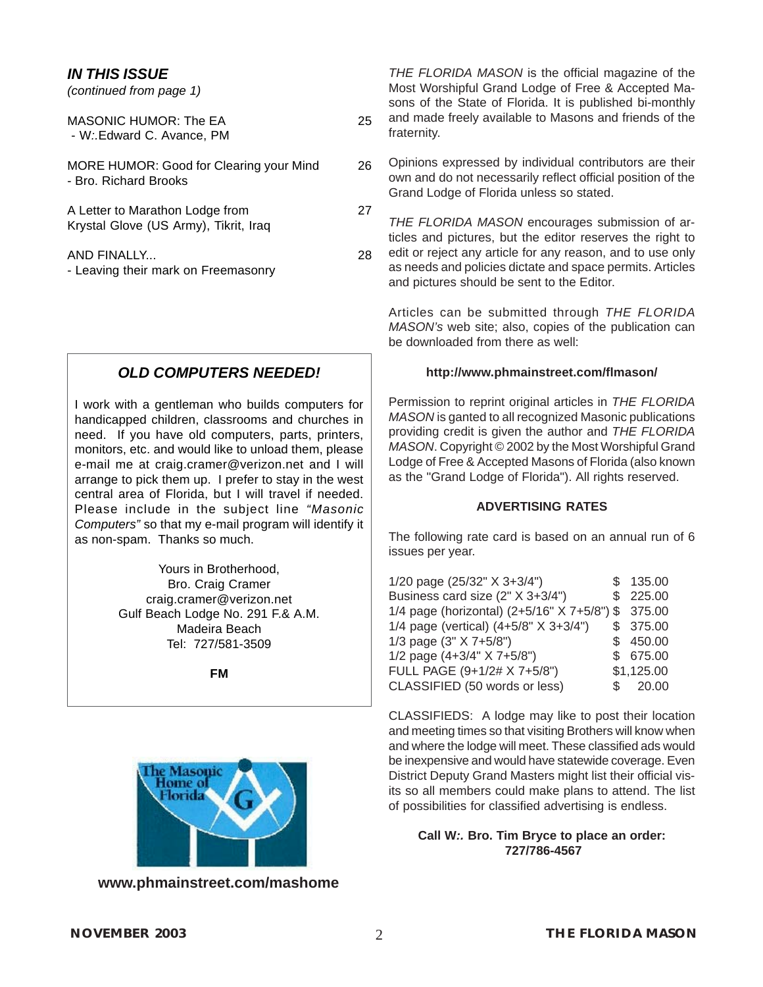### *IN THIS ISSUE*

*(continued from page 1)*

| MASONIC HUMOR: The EA<br>- W: Edward C. Avance, PM                       | 25 |
|--------------------------------------------------------------------------|----|
| MORE HUMOR: Good for Clearing your Mind<br>- Bro. Richard Brooks         | 26 |
| A Letter to Marathon Lodge from<br>Krystal Glove (US Army), Tikrit, Iraq | 27 |
| AND FINALLY<br>- Leaving their mark on Freemasonry                       | 28 |

### *OLD COMPUTERS NEEDED!*

I work with a gentleman who builds computers for handicapped children, classrooms and churches in need. If you have old computers, parts, printers, monitors, etc. and would like to unload them, please e-mail me at craig.cramer@verizon.net and I will arrange to pick them up. I prefer to stay in the west central area of Florida, but I will travel if needed. Please include in the subject line *"Masonic Computers"* so that my e-mail program will identify it as non-spam. Thanks so much.

> Yours in Brotherhood, Bro. Craig Cramer craig.cramer@verizon.net Gulf Beach Lodge No. 291 F.& A.M. Madeira Beach Tel: 727/581-3509

> > **FM**



**[www.phmainstreet.com/mashome](#page-612-0)**

*THE FLORIDA MASON* is the official magazine of the Most Worshipful Grand Lodge of Free & Accepted Masons of the State of Florida. It is published bi-monthly and made freely available to Masons and friends of the fraternity.

Opinions expressed by individual contributors are their own and do not necessarily reflect official position of the Grand Lodge of Florida unless so stated.

*THE FLORIDA MASON* encourages submission of articles and pictures, but the editor reserves the right to edit or reject any article for any reason, and to use only as needs and policies dictate and space permits. Articles and pictures should be sent to the Editor.

Articles can be submitted through *THE FLORIDA MASON's* web site; also, copies of the publication can be downloaded from there as well:

### **<http://www.phmainstreet.com/flmason/>**

Permission to reprint original articles in *THE FLORIDA MASON* is ganted to all recognized Masonic publications providing credit is given the author and *THE FLORIDA MASON*. Copyright © 2002 by the Most Worshipful Grand Lodge of Free & Accepted Masons of Florida (also known as the "Grand Lodge of Florida"). All rights reserved.

### **ADVERTISING RATES**

The following rate card is based on an annual run of 6 issues per year.

| 1/20 page (25/32" X 3+3/4")                        | \$135.00   |
|----------------------------------------------------|------------|
| Business card size (2" X 3+3/4")                   | \$225.00   |
| 1/4 page (horizontal) (2+5/16" X 7+5/8") \$ 375.00 |            |
| 1/4 page (vertical) $(4+5/8" X 3+3/4")$            | \$ 375.00  |
| 1/3 page (3" X 7+5/8")                             | \$450.00   |
| 1/2 page $(4+3/4" X 7+5/8")$                       | \$675.00   |
| FULL PAGE (9+1/2# X 7+5/8")                        | \$1,125.00 |
| CLASSIFIED (50 words or less)                      | \$ 20.00   |

CLASSIFIEDS: A lodge may like to post their location and meeting times so that visiting Brothers will know when and where the lodge will meet. These classified ads would be inexpensive and would have statewide coverage. Even District Deputy Grand Masters might list their official visits so all members could make plans to attend. The list of possibilities for classified advertising is endless.

**Call W***:.* **[Bro. Tim Bryce t](mailto:timb001@attglobal.net)o place an order: 727/786-4567**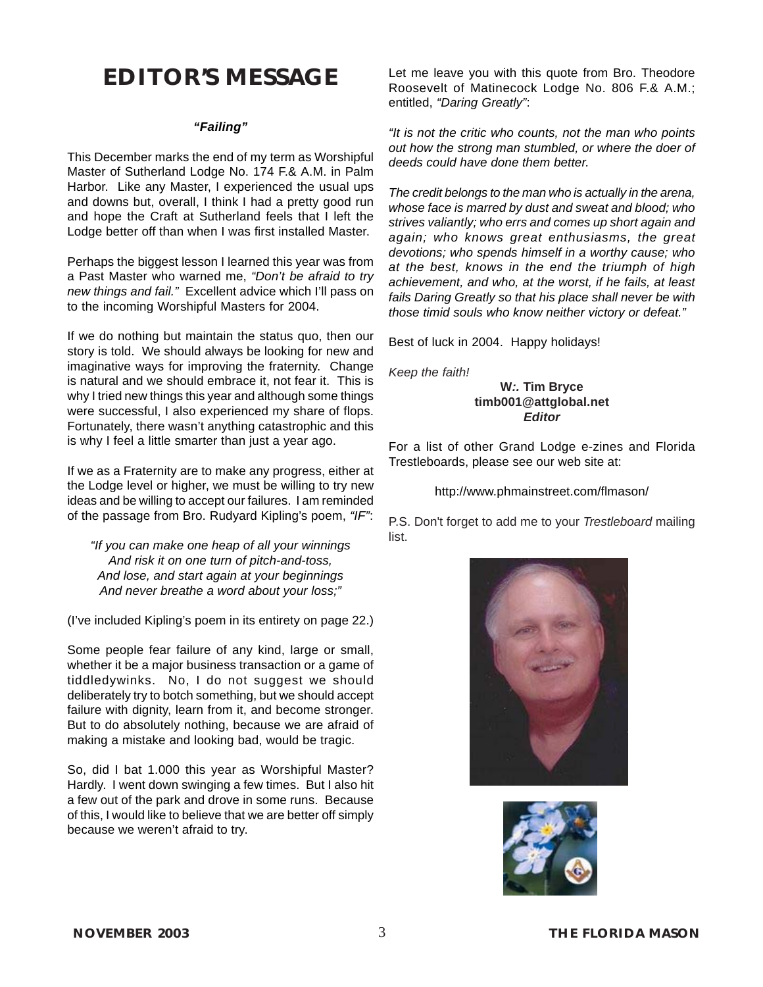### **EDITOR'S MESSAGE**

### *"Failing"*

This December marks the end of my term as Worshipful Master of Sutherland Lodge No. 174 F.& A.M. in Palm Harbor. Like any Master, I experienced the usual ups and downs but, overall, I think I had a pretty good run and hope the Craft at Sutherland feels that I left the Lodge better off than when I was first installed Master.

Perhaps the biggest lesson I learned this year was from a Past Master who warned me, *"Don't be afraid to try new things and fail."* Excellent advice which I'll pass on to the incoming Worshipful Masters for 2004.

If we do nothing but maintain the status quo, then our story is told. We should always be looking for new and imaginative ways for improving the fraternity. Change is natural and we should embrace it, not fear it. This is why I tried new things this year and although some things were successful, I also experienced my share of flops. Fortunately, there wasn't anything catastrophic and this is why I feel a little smarter than just a year ago.

If we as a Fraternity are to make any progress, either at the Lodge level or higher, we must be willing to try new ideas and be willing to accept our failures. I am reminded of the passage from Bro. Rudyard Kipling's poem, *"IF"*:

*"If you can make one heap of all your winnings And risk it on one turn of pitch-and-toss, And lose, and start again at your beginnings And never breathe a word about your loss;"*

(I've included Kipling's poem in its entirety on page 22.)

Some people fear failure of any kind, large or small, whether it be a major business transaction or a game of tiddledywinks. No, I do not suggest we should deliberately try to botch something, but we should accept failure with dignity, learn from it, and become stronger. But to do absolutely nothing, because we are afraid of making a mistake and looking bad, would be tragic.

So, did I bat 1.000 this year as Worshipful Master? Hardly. I went down swinging a few times. But I also hit a few out of the park and drove in some runs. Because of this, I would like to believe that we are better off simply because we weren't afraid to try.

Let me leave you with this quote from Bro. Theodore Roosevelt of Matinecock Lodge No. 806 F.& A.M.; entitled, *"Daring Greatly"*:

*"It is not the critic who counts, not the man who points out how the strong man stumbled, or where the doer of deeds could have done them better.*

*The credit belongs to the man who is actually in the arena, whose face is marred by dust and sweat and blood; who strives valiantly; who errs and comes up short again and again; who knows great enthusiasms, the great devotions; who spends himself in a worthy cause; who at the best, knows in the end the triumph of high achievement, and who, at the worst, if he fails, at least fails Daring Greatly so that his place shall never be with those timid souls who know neither victory or defeat."*

Best of luck in 2004. Happy holidays!

*Keep the faith!*

**W***:.* **[Tim Bryce](mailto:timb001@attglobal.net) [timb001@attglobal.net](mailto:timb001@attglobal.net)** *Editor*

For a list of other Grand Lodge e-zines and Florida Trestleboards, please see our web site at:

<http://www.phmainstreet.com/flmason/>

P.S. Don't forget to add me to your *Trestleboard* mailing list.



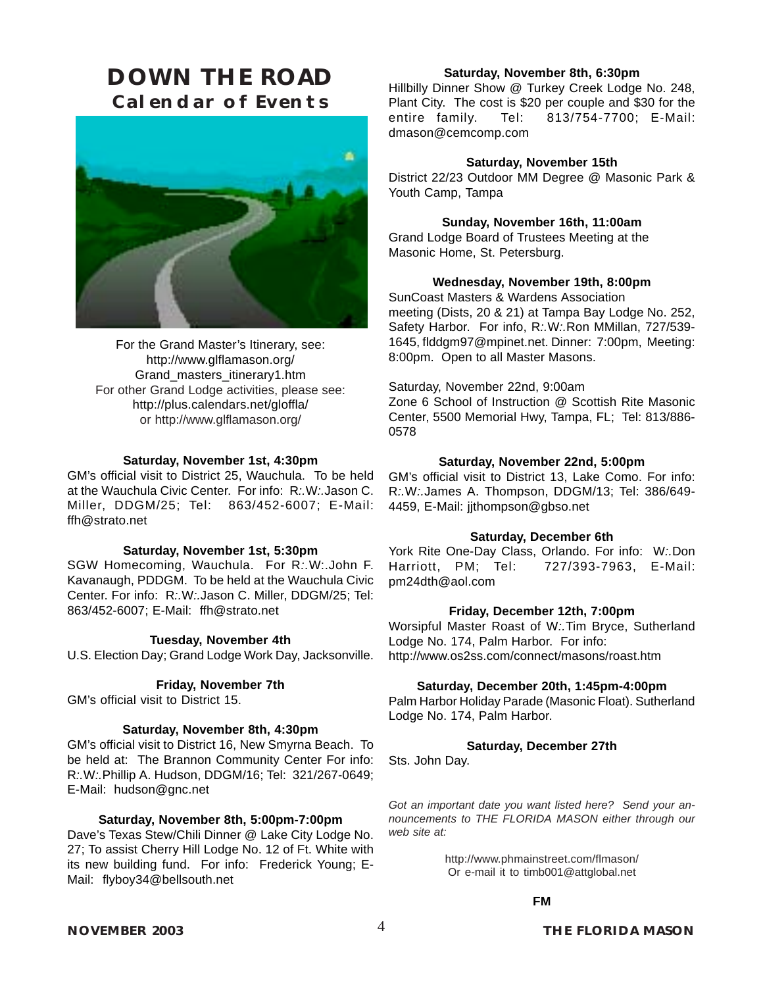### <span id="page-4-0"></span>**DOWN THE ROAD Calendar of Events**



For the Grand Master's Itinerary, see: http://www.glflamason.org/ Grand\_masters\_itinerary1.htm For other Grand Lodge activities, please see: http://plus.calendars.net/gloffla/ or<http://www.glflamason.org/>

#### **Saturday, November 1st, 4:30pm**

GM's official visit to District 25, Wauchula. To be held at the Wauchula Civic Center. For info: R*:.*W*:.*Jason C. Miller, DDGM/25; Tel: 863/452-6007; E-Mail: ffh@strato.net

#### **Saturday, November 1st, 5:30pm**

SGW Homecoming, Wauchula. For R*:.*[W:.John F.](#page-1-0) [Kavanaugh, PDDGM.](#page-1-0) To be held at the Wauchula Civic Center. For info: R*:.*W*:.*Jason C. Miller, DDGM/25; Tel: 863/452-6007; E-Mail: ffh@strato.net

#### **Tuesday, November 4th**

U.S. Election Day; Grand Lodge Work Day, Jacksonville.

### **Friday, November 7th**

GM's official visit to District 15.

#### **Saturday, November 8th, 4:30pm**

GM's official visit to District 16, New Smyrna Beach. To be held at: The Brannon Community Center For info: R*:.*W*:.*Phillip A. Hudson, DDGM/16; Tel: 321/267-0649; E-Mail: hudson@gnc.net

#### **Saturday, November 8th, 5:00pm-7:00pm**

Dave's Texas Stew/Chili Dinner @ Lake City Lodge No. 27; To assist Cherry Hill Lodge No. 12 of Ft. White with its new building fund. For info: Frederick Young; E-Mail: flyboy34@bellsouth.net

### **Saturday, November 8th, 6:30pm**

Hillbilly Dinner Show @ Turkey Creek Lodge No. 248, Plant City. The cost is \$20 per couple and \$30 for the entire family. Tel: 813/754-7700; E-Mail: dmason@cemcomp.com

#### **Saturday, November 15th**

District 22/23 Outdoor MM Degree @ Masonic Park & Youth Camp, Tampa

### **Sunday, November 16th, 11:00am**

Grand Lodge Board of Trustees Meeting at the [Masonic Home,](#page-612-0) St. Petersburg.

### **Wednesday, November 19th, 8:00pm**

SunCoast Masters & Wardens Association meeting (Dists, 20 & 21) at Tampa Bay Lodge No. 252, Safety Harbor. For info, R*:.*W*:.*Ron MMillan, 727/539- 1645, flddgm97@mpinet.net. Dinner: 7:00pm, Meeting: 8:00pm. Open to all Master Masons.

Saturday, November 22nd, 9:00am

Zone 6 School of Instruction @ Scottish Rite Masonic Center, 5500 Memorial Hwy, Tampa, FL; Tel: 813/886- 0578

#### **Saturday, November 22nd, 5:00pm**

GM's official visit to District 13, Lake Como. For info: R*:.*W*:.*James A. Thompson, DDGM/13; Tel: 386/649- 4459, E-Mail: jjthompson@gbso.net

#### **Saturday, December 6th**

York Rite One-Day Class, Orlando. For info: W*:.*Don Harriott, PM; Tel: 727/393-7963, E-Mail: pm24dth@aol.com

#### **Friday, December 12th, 7:00pm**

Worsipful Master Roast of W*:.*[Tim Bryce](mailto:timb001@attglobal.net), Sutherland Lodge No. 174, Palm Harbor. For info: http://www.os2ss.com/connect/masons/roast.htm

#### **Saturday, December 20th, 1:45pm-4:00pm**

Palm Harbor Holiday Parade (Masonic Float). Sutherland Lodge No. 174, Palm Harbor.

### **Saturday, December 27th**

Sts. John Day.

*Got an important date you want listed here? Send your announcements to THE FLORIDA MASON either through our web site at:*

> <http://www.phmainstreet.com/flmason/> Or e-mail it to t[imb001@attglobal.net](mailto:timb001@attglobal.net)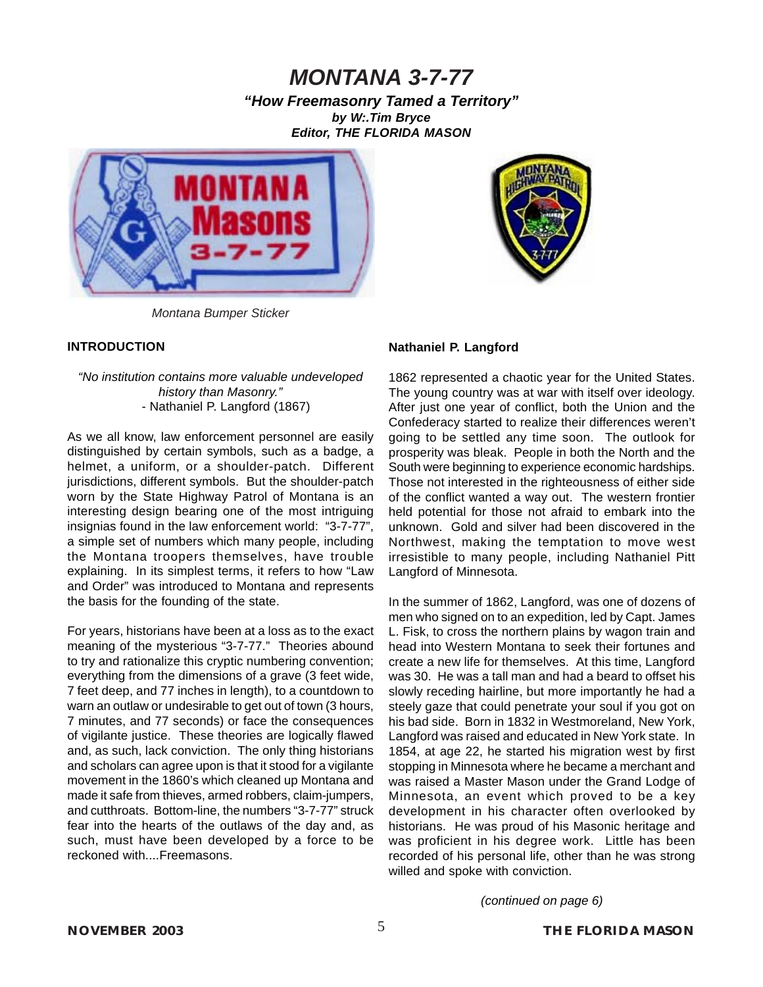*"How Freemasonry Tamed a Territory" by [W:.Tim Bryce](mailto:timb001@attglobal.net) Editor, THE FLORIDA MASON*





*Montana Bumper Sticker*

### **INTRODUCTION**

### *"No institution contains more valuable undeveloped history than Masonry."* - Nathaniel P. Langford (1867)

As we all know, law enforcement personnel are easily distinguished by certain symbols, such as a badge, a helmet, a uniform, or a shoulder-patch. Different jurisdictions, different symbols. But the shoulder-patch worn by the State Highway Patrol of Montana is an interesting design bearing one of the most intriguing insignias found in the law enforcement world: "3-7-77", a simple set of numbers which many people, including the Montana troopers themselves, have trouble explaining. In its simplest terms, it refers to how "Law and Order" was introduced to Montana and represents the basis for the founding of the state.

For years, historians have been at a loss as to the exact meaning of the mysterious "3-7-77." Theories abound to try and rationalize this cryptic numbering convention; everything from the dimensions of a grave (3 feet wide, 7 feet deep, and 77 inches in length), to a countdown to warn an outlaw or undesirable to get out of town (3 hours, 7 minutes, and 77 seconds) or face the consequences of vigilante justice. These theories are logically flawed and, as such, lack conviction. The only thing historians and scholars can agree upon is that it stood for a vigilante movement in the 1860's which cleaned up Montana and made it safe from thieves, armed robbers, claim-jumpers, and cutthroats. Bottom-line, the numbers "3-7-77" struck fear into the hearts of the outlaws of the day and, as such, must have been developed by a force to be reckoned with....Freemasons.

### **Nathaniel P. Langford**

1862 represented a chaotic year for the United States. The young country was at war with itself over ideology. After just one year of conflict, both the Union and the Confederacy started to realize their differences weren't going to be settled any time soon. The outlook for prosperity was bleak. People in both the North and the South were beginning to experience economic hardships. Those not interested in the righteousness of either side of the conflict wanted a way out. The western frontier held potential for those not afraid to embark into the unknown. Gold and silver had been discovered in the Northwest, making the temptation to move west irresistible to many people, including Nathaniel Pitt Langford of Minnesota.

In the summer of 1862, Langford, was one of dozens of men who signed on to an expedition, led by Capt. James L. Fisk, to cross the northern plains by wagon train and head into Western Montana to seek their fortunes and create a new life for themselves. At this time, Langford was 30. He was a tall man and had a beard to offset his slowly receding hairline, but more importantly he had a steely gaze that could penetrate your soul if you got on his bad side. Born in 1832 in Westmoreland, New York, Langford was raised and educated in New York state. In 1854, at age 22, he started his migration west by first stopping in Minnesota where he became a merchant and was raised a Master Mason under the Grand Lodge of Minnesota, an event which proved to be a key development in his character often overlooked by historians. He was proud of his Masonic heritage and was proficient in his degree work. Little has been recorded of his personal life, other than he was strong willed and spoke with conviction.

*(continued on page 6)*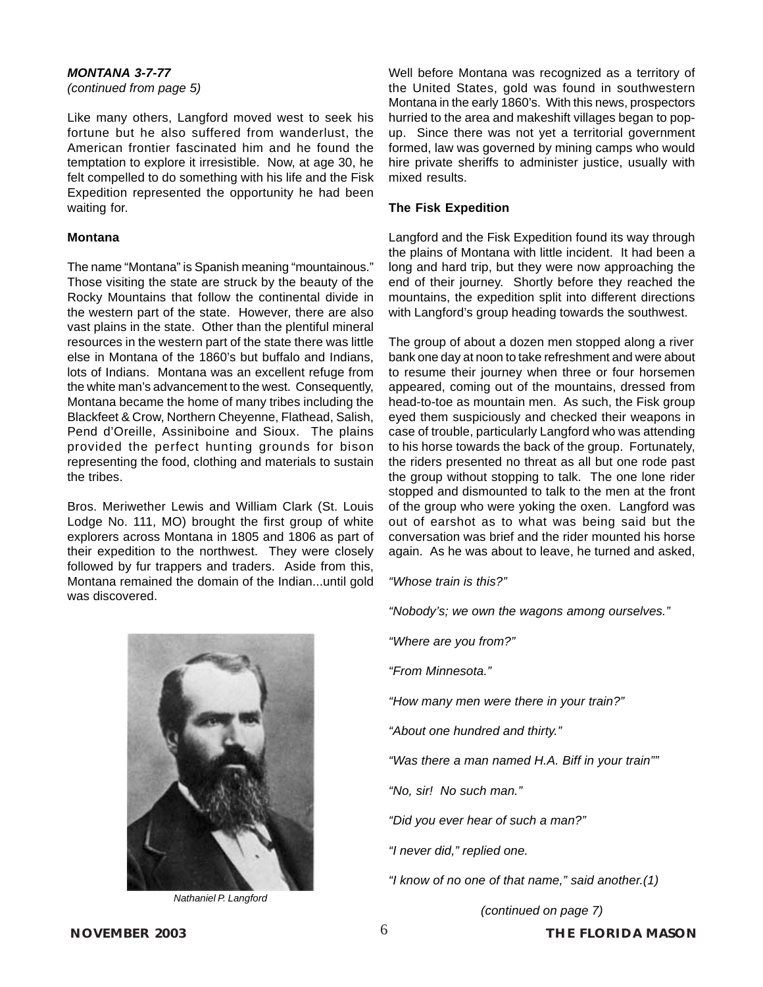*(continued from page 5)*

Like many others, Langford moved west to seek his fortune but he also suffered from wanderlust, the American frontier fascinated him and he found the temptation to explore it irresistible. Now, at age 30, he felt compelled to do something with his life and the Fisk Expedition represented the opportunity he had been waiting for.

### **Montana**

The name "Montana" is Spanish meaning "mountainous." Those visiting the state are struck by the beauty of the Rocky Mountains that follow the continental divide in the western part of the state. However, there are also vast plains in the state. Other than the plentiful mineral resources in the western part of the state there was little else in Montana of the 1860's but buffalo and Indians, lots of Indians. Montana was an excellent refuge from the white man's advancement to the west. Consequently, Montana became the home of many tribes including the Blackfeet & Crow, Northern Cheyenne, Flathead, Salish, Pend d'Oreille, Assiniboine and Sioux. The plains provided the perfect hunting grounds for bison representing the food, clothing and materials to sustain the tribes.

Bros. Meriwether Lewis and William Clark (St. Louis Lodge No. 111, MO) brought the first group of white explorers across Montana in 1805 and 1806 as part of their expedition to the northwest. They were closely followed by fur trappers and traders. Aside from this, Montana remained the domain of the Indian...until gold was discovered.

*Nathaniel P. Langford*

Well before Montana was recognized as a territory of the United States, gold was found in southwestern Montana in the early 1860's. With this news, prospectors hurried to the area and makeshift villages began to popup. Since there was not yet a territorial government formed, law was governed by mining camps who would hire private sheriffs to administer justice, usually with mixed results.

### **The Fisk Expedition**

Langford and the Fisk Expedition found its way through the plains of Montana with little incident. It had been a long and hard trip, but they were now approaching the end of their journey. Shortly before they reached the mountains, the expedition split into different directions with Langford's group heading towards the southwest.

The group of about a dozen men stopped along a river bank one day at noon to take refreshment and were about to resume their journey when three or four horsemen appeared, coming out of the mountains, dressed from head-to-toe as mountain men. As such, the Fisk group eyed them suspiciously and checked their weapons in case of trouble, particularly Langford who was attending to his horse towards the back of the group. Fortunately, the riders presented no threat as all but one rode past the group without stopping to talk. The one lone rider stopped and dismounted to talk to the men at the front of the group who were yoking the oxen. Langford was out of earshot as to what was being said but the conversation was brief and the rider mounted his horse again. As he was about to leave, he turned and asked,

*"Whose train is this?"*

*"Nobody's; we own the wagons among ourselves."*

*"Where are you from?"*

*"From Minnesota."*

*"How many men were there in your train?"*

*"About one hundred and thirty."*

*"Was there a man named H.A. Biff in your train""*

*"No, sir! No such man."*

*"Did you ever hear of such a man?"*

*"I never did," replied one.*

*"I know of no one of that name," said another.(1)*

*(continued on page 7)*

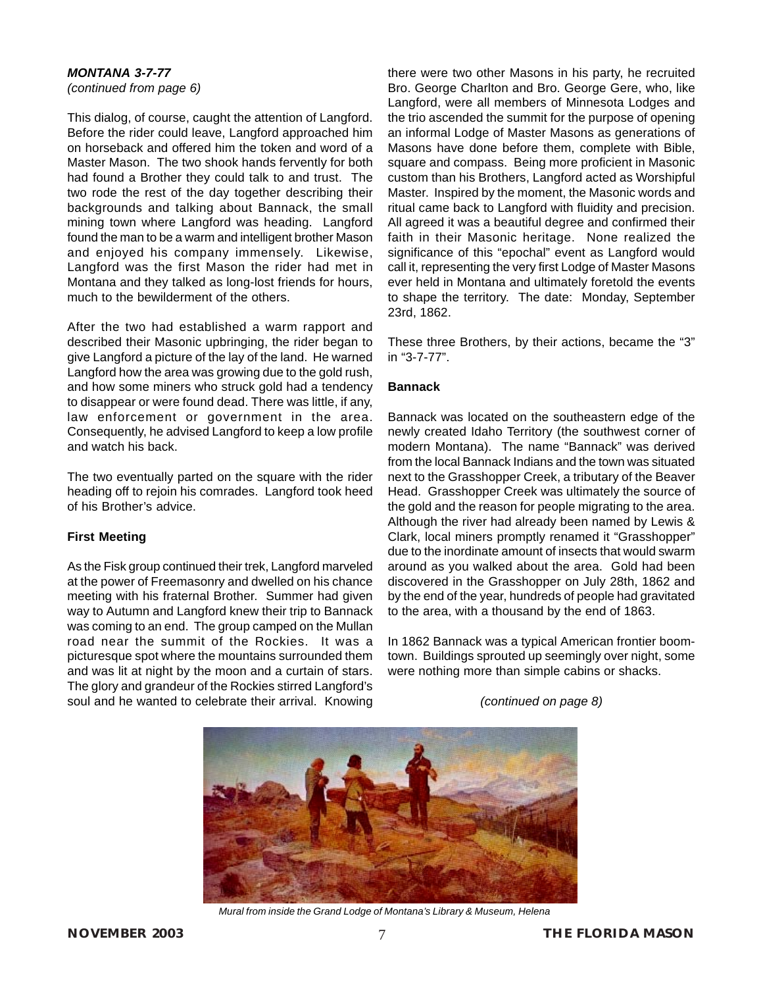*(continued from page 6)*

This dialog, of course, caught the attention of Langford. Before the rider could leave, Langford approached him on horseback and offered him the token and word of a Master Mason. The two shook hands fervently for both had found a Brother they could talk to and trust. The two rode the rest of the day together describing their backgrounds and talking about Bannack, the small mining town where Langford was heading. Langford found the man to be a warm and intelligent brother Mason and enjoyed his company immensely. Likewise, Langford was the first Mason the rider had met in Montana and they talked as long-lost friends for hours, much to the bewilderment of the others.

After the two had established a warm rapport and described their Masonic upbringing, the rider began to give Langford a picture of the lay of the land. He warned Langford how the area was growing due to the gold rush, and how some miners who struck gold had a tendency to disappear or were found dead. There was little, if any, law enforcement or government in the area. Consequently, he advised Langford to keep a low profile and watch his back.

The two eventually parted on the square with the rider heading off to rejoin his comrades. Langford took heed of his Brother's advice.

### **First Meeting**

As the Fisk group continued their trek, Langford marveled at the power of Freemasonry and dwelled on his chance meeting with his fraternal Brother. Summer had given way to Autumn and Langford knew their trip to Bannack was coming to an end. The group camped on the Mullan road near the summit of the Rockies. It was a picturesque spot where the mountains surrounded them and was lit at night by the moon and a curtain of stars. The glory and grandeur of the Rockies stirred Langford's soul and he wanted to celebrate their arrival. Knowing there were two other Masons in his party, he recruited Bro. George Charlton and Bro. George Gere, who, like Langford, were all members of Minnesota Lodges and the trio ascended the summit for the purpose of opening an informal Lodge of Master Masons as generations of Masons have done before them, complete with Bible, square and compass. Being more proficient in Masonic custom than his Brothers, Langford acted as Worshipful Master. Inspired by the moment, the Masonic words and ritual came back to Langford with fluidity and precision. All agreed it was a beautiful degree and confirmed their faith in their Masonic heritage. None realized the significance of this "epochal" event as Langford would call it, representing the very first Lodge of Master Masons ever held in Montana and ultimately foretold the events to shape the territory. The date: Monday, September 23rd, 1862.

These three Brothers, by their actions, became the "3" in "3-7-77".

### **Bannack**

Bannack was located on the southeastern edge of the newly created Idaho Territory (the southwest corner of modern Montana). The name "Bannack" was derived from the local Bannack Indians and the town was situated next to the Grasshopper Creek, a tributary of the Beaver Head. Grasshopper Creek was ultimately the source of the gold and the reason for people migrating to the area. Although the river had already been named by Lewis & Clark, local miners promptly renamed it "Grasshopper" due to the inordinate amount of insects that would swarm around as you walked about the area. Gold had been discovered in the Grasshopper on July 28th, 1862 and by the end of the year, hundreds of people had gravitated to the area, with a thousand by the end of 1863.

In 1862 Bannack was a typical American frontier boomtown. Buildings sprouted up seemingly over night, some were nothing more than simple cabins or shacks.

*(continued on page 8)*



*Mural from inside the Grand Lodge of Montana's Library & Museum, Helena*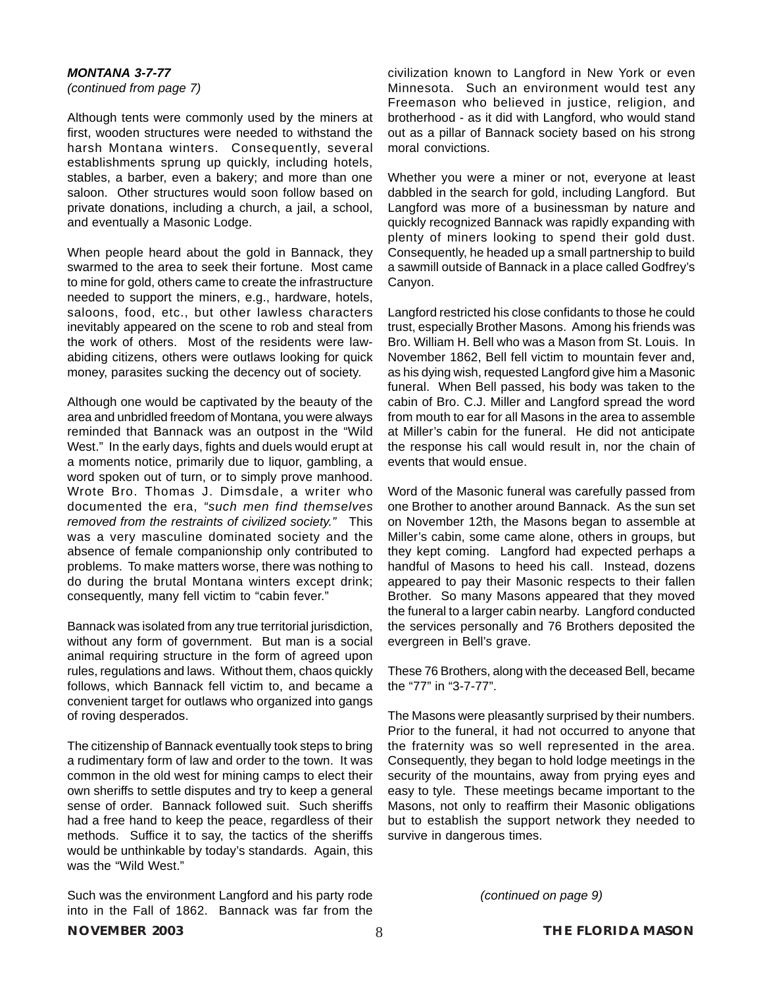*(continued from page 7)*

Although tents were commonly used by the miners at first, wooden structures were needed to withstand the harsh Montana winters. Consequently, several establishments sprung up quickly, including hotels, stables, a barber, even a bakery; and more than one saloon. Other structures would soon follow based on private donations, including a church, a jail, a school, and eventually a Masonic Lodge.

When people heard about the gold in Bannack, they swarmed to the area to seek their fortune. Most came to mine for gold, others came to create the infrastructure needed to support the miners, e.g., hardware, hotels, saloons, food, etc., but other lawless characters inevitably appeared on the scene to rob and steal from the work of others. Most of the residents were lawabiding citizens, others were outlaws looking for quick money, parasites sucking the decency out of society.

Although one would be captivated by the beauty of the area and unbridled freedom of Montana, you were always reminded that Bannack was an outpost in the "Wild West." In the early days, fights and duels would erupt at a moments notice, primarily due to liquor, gambling, a word spoken out of turn, or to simply prove manhood. Wrote Bro. Thomas J. Dimsdale, a writer who documented the era, *"such men find themselves removed from the restraints of civilized society."* This was a very masculine dominated society and the absence of female companionship only contributed to problems. To make matters worse, there was nothing to do during the brutal Montana winters except drink; consequently, many fell victim to "cabin fever."

Bannack was isolated from any true territorial jurisdiction, without any form of government. But man is a social animal requiring structure in the form of agreed upon rules, regulations and laws. Without them, chaos quickly follows, which Bannack fell victim to, and became a convenient target for outlaws who organized into gangs of roving desperados.

The citizenship of Bannack eventually took steps to bring a rudimentary form of law and order to the town. It was common in the old west for mining camps to elect their own sheriffs to settle disputes and try to keep a general sense of order. Bannack followed suit. Such sheriffs had a free hand to keep the peace, regardless of their methods. Suffice it to say, the tactics of the sheriffs would be unthinkable by today's standards. Again, this was the "Wild West."

Such was the environment Langford and his party rode into in the Fall of 1862. Bannack was far from the

civilization known to Langford in New York or even Minnesota. Such an environment would test any Freemason who believed in justice, religion, and brotherhood - as it did with Langford, who would stand out as a pillar of Bannack society based on his strong moral convictions.

Whether you were a miner or not, everyone at least dabbled in the search for gold, including Langford. But Langford was more of a businessman by nature and quickly recognized Bannack was rapidly expanding with plenty of miners looking to spend their gold dust. Consequently, he headed up a small partnership to build a sawmill outside of Bannack in a place called Godfrey's Canyon.

Langford restricted his close confidants to those he could trust, especially Brother Masons. Among his friends was Bro. William H. Bell who was a Mason from St. Louis. In November 1862, Bell fell victim to mountain fever and, as his dying wish, requested Langford give him a Masonic funeral. When Bell passed, his body was taken to the cabin of Bro. C.J. Miller and Langford spread the word from mouth to ear for all Masons in the area to assemble at Miller's cabin for the funeral. He did not anticipate the response his call would result in, nor the chain of events that would ensue.

Word of the Masonic funeral was carefully passed from one Brother to another around Bannack. As the sun set on November 12th, the Masons began to assemble at Miller's cabin, some came alone, others in groups, but they kept coming. Langford had expected perhaps a handful of Masons to heed his call. Instead, dozens appeared to pay their Masonic respects to their fallen Brother. So many Masons appeared that they moved the funeral to a larger cabin nearby. Langford conducted the services personally and 76 Brothers deposited the evergreen in Bell's grave.

These 76 Brothers, along with the deceased Bell, became the "77" in "3-7-77".

The Masons were pleasantly surprised by their numbers. Prior to the funeral, it had not occurred to anyone that the fraternity was so well represented in the area. Consequently, they began to hold lodge meetings in the security of the mountains, away from prying eyes and easy to tyle. These meetings became important to the Masons, not only to reaffirm their Masonic obligations but to establish the support network they needed to survive in dangerous times.

*(continued on page 9)*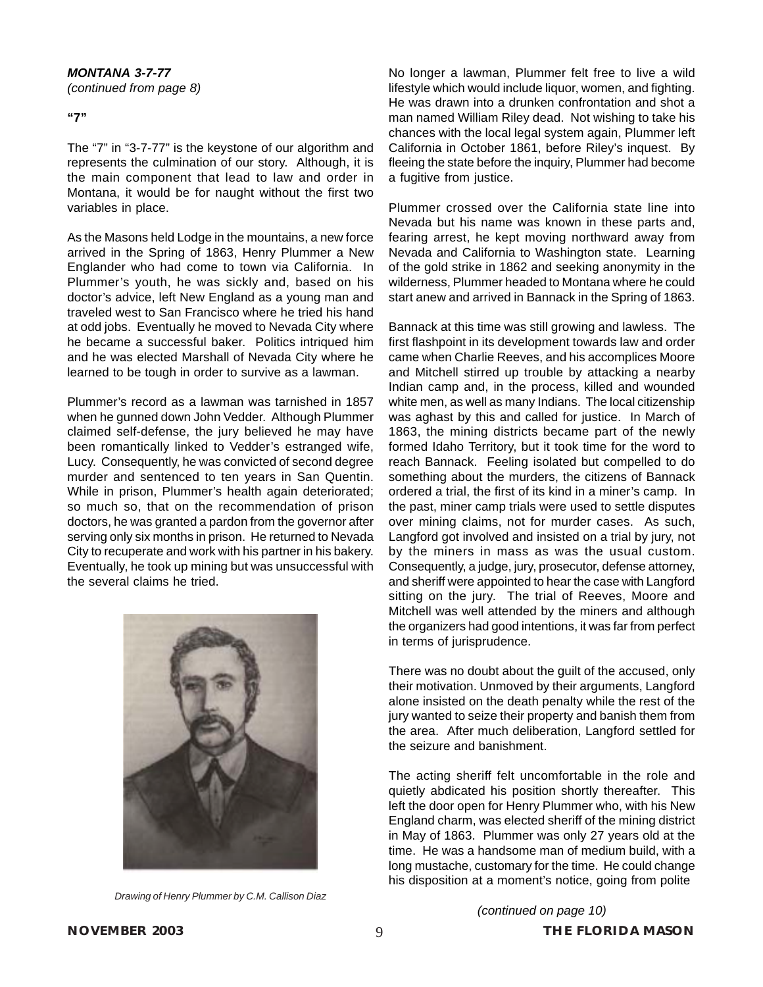**"7"**

The "7" in "3-7-77" is the keystone of our algorithm and represents the culmination of our story. Although, it is the main component that lead to law and order in Montana, it would be for naught without the first two variables in place.

As the Masons held Lodge in the mountains, a new force arrived in the Spring of 1863, Henry Plummer a New Englander who had come to town via California. In Plummer's youth, he was sickly and, based on his doctor's advice, left New England as a young man and traveled west to San Francisco where he tried his hand at odd jobs. Eventually he moved to Nevada City where he became a successful baker. Politics intriqued him and he was elected Marshall of Nevada City where he learned to be tough in order to survive as a lawman.

Plummer's record as a lawman was tarnished in 1857 when he gunned down John Vedder. Although Plummer claimed self-defense, the jury believed he may have been romantically linked to Vedder's estranged wife, Lucy. Consequently, he was convicted of second degree murder and sentenced to ten years in San Quentin. While in prison, Plummer's health again deteriorated; so much so, that on the recommendation of prison doctors, he was granted a pardon from the governor after serving only six months in prison. He returned to Nevada City to recuperate and work with his partner in his bakery. Eventually, he took up mining but was unsuccessful with the several claims he tried.



*Drawing of Henry Plummer by C.M. Callison Diaz*

No longer a lawman, Plummer felt free to live a wild lifestyle which would include liquor, women, and fighting. He was drawn into a drunken confrontation and shot a man named William Riley dead. Not wishing to take his chances with the local legal system again, Plummer left California in October 1861, before Riley's inquest. By fleeing the state before the inquiry, Plummer had become a fugitive from justice.

Plummer crossed over the California state line into Nevada but his name was known in these parts and, fearing arrest, he kept moving northward away from Nevada and California to Washington state. Learning of the gold strike in 1862 and seeking anonymity in the wilderness, Plummer headed to Montana where he could start anew and arrived in Bannack in the Spring of 1863.

Bannack at this time was still growing and lawless. The first flashpoint in its development towards law and order came when Charlie Reeves, and his accomplices Moore and Mitchell stirred up trouble by attacking a nearby Indian camp and, in the process, killed and wounded white men, as well as many Indians. The local citizenship was aghast by this and called for justice. In March of 1863, the mining districts became part of the newly formed Idaho Territory, but it took time for the word to reach Bannack. Feeling isolated but compelled to do something about the murders, the citizens of Bannack ordered a trial, the first of its kind in a miner's camp. In the past, miner camp trials were used to settle disputes over mining claims, not for murder cases. As such, Langford got involved and insisted on a trial by jury, not by the miners in mass as was the usual custom. Consequently, a judge, jury, prosecutor, defense attorney, and sheriff were appointed to hear the case with Langford sitting on the jury. The trial of Reeves, Moore and Mitchell was well attended by the miners and although the organizers had good intentions, it was far from perfect in terms of jurisprudence.

There was no doubt about the guilt of the accused, only their motivation. Unmoved by their arguments, Langford alone insisted on the death penalty while the rest of the jury wanted to seize their property and banish them from the area. After much deliberation, Langford settled for the seizure and banishment.

The acting sheriff felt uncomfortable in the role and quietly abdicated his position shortly thereafter. This left the door open for Henry Plummer who, with his New England charm, was elected sheriff of the mining district in May of 1863. Plummer was only 27 years old at the time. He was a handsome man of medium build, with a long mustache, customary for the time. He could change his disposition at a moment's notice, going from polite

*(continued on page 10)*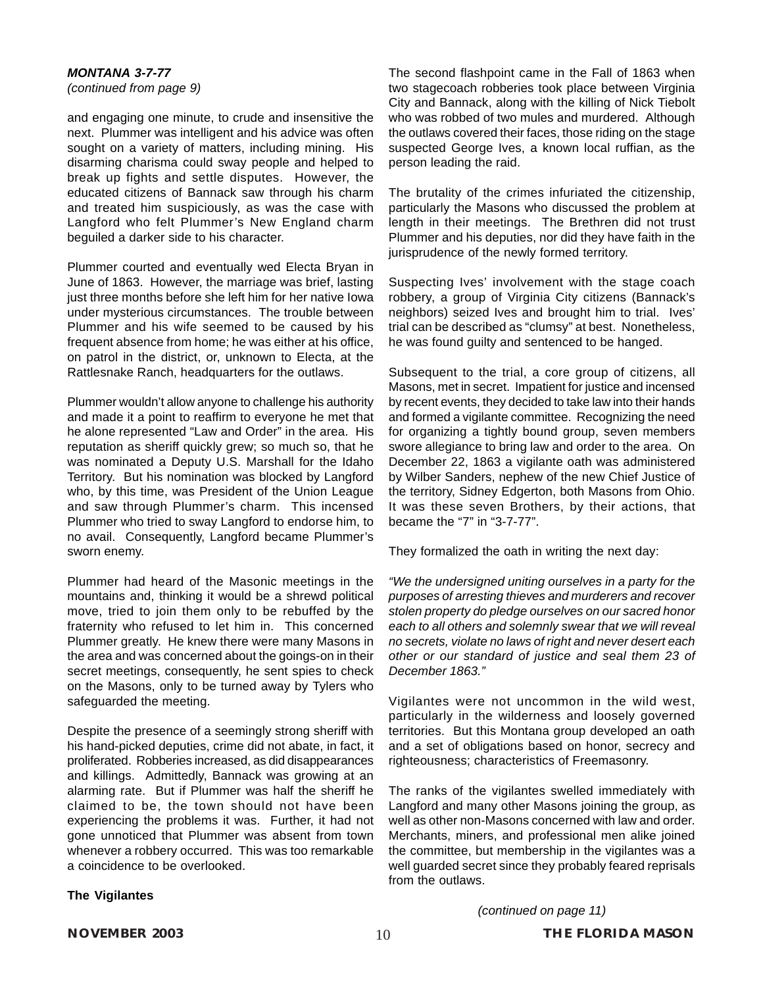*(continued from page 9)*

and engaging one minute, to crude and insensitive the next. Plummer was intelligent and his advice was often sought on a variety of matters, including mining. His disarming charisma could sway people and helped to break up fights and settle disputes. However, the educated citizens of Bannack saw through his charm and treated him suspiciously, as was the case with Langford who felt Plummer's New England charm beguiled a darker side to his character.

Plummer courted and eventually wed Electa Bryan in June of 1863. However, the marriage was brief, lasting just three months before she left him for her native Iowa under mysterious circumstances. The trouble between Plummer and his wife seemed to be caused by his frequent absence from home; he was either at his office, on patrol in the district, or, unknown to Electa, at the Rattlesnake Ranch, headquarters for the outlaws.

Plummer wouldn't allow anyone to challenge his authority and made it a point to reaffirm to everyone he met that he alone represented "Law and Order" in the area. His reputation as sheriff quickly grew; so much so, that he was nominated a Deputy U.S. Marshall for the Idaho Territory. But his nomination was blocked by Langford who, by this time, was President of the Union League and saw through Plummer's charm. This incensed Plummer who tried to sway Langford to endorse him, to no avail. Consequently, Langford became Plummer's sworn enemy.

Plummer had heard of the Masonic meetings in the mountains and, thinking it would be a shrewd political move, tried to join them only to be rebuffed by the fraternity who refused to let him in. This concerned Plummer greatly. He knew there were many Masons in the area and was concerned about the goings-on in their secret meetings, consequently, he sent spies to check on the Masons, only to be turned away by Tylers who safeguarded the meeting.

Despite the presence of a seemingly strong sheriff with his hand-picked deputies, crime did not abate, in fact, it proliferated. Robberies increased, as did disappearances and killings. Admittedly, Bannack was growing at an alarming rate. But if Plummer was half the sheriff he claimed to be, the town should not have been experiencing the problems it was. Further, it had not gone unnoticed that Plummer was absent from town whenever a robbery occurred. This was too remarkable a coincidence to be overlooked.

### The second flashpoint came in the Fall of 1863 when two stagecoach robberies took place between Virginia City and Bannack, along with the killing of Nick Tiebolt who was robbed of two mules and murdered. Although the outlaws covered their faces, those riding on the stage suspected George Ives, a known local ruffian, as the person leading the raid.

The brutality of the crimes infuriated the citizenship, particularly the Masons who discussed the problem at length in their meetings. The Brethren did not trust Plummer and his deputies, nor did they have faith in the jurisprudence of the newly formed territory.

Suspecting Ives' involvement with the stage coach robbery, a group of Virginia City citizens (Bannack's neighbors) seized Ives and brought him to trial. Ives' trial can be described as "clumsy" at best. Nonetheless, he was found guilty and sentenced to be hanged.

Subsequent to the trial, a core group of citizens, all Masons, met in secret. Impatient for justice and incensed by recent events, they decided to take law into their hands and formed a vigilante committee. Recognizing the need for organizing a tightly bound group, seven members swore allegiance to bring law and order to the area. On December 22, 1863 a vigilante oath was administered by Wilber Sanders, nephew of the new Chief Justice of the territory, Sidney Edgerton, both Masons from Ohio. It was these seven Brothers, by their actions, that became the "7" in "3-7-77".

They formalized the oath in writing the next day:

*"We the undersigned uniting ourselves in a party for the purposes of arresting thieves and murderers and recover stolen property do pledge ourselves on our sacred honor each to all others and solemnly swear that we will reveal no secrets, violate no laws of right and never desert each other or our standard of justice and seal them 23 of December 1863."*

Vigilantes were not uncommon in the wild west, particularly in the wilderness and loosely governed territories. But this Montana group developed an oath and a set of obligations based on honor, secrecy and righteousness; characteristics of Freemasonry.

The ranks of the vigilantes swelled immediately with Langford and many other Masons joining the group, as well as other non-Masons concerned with law and order. Merchants, miners, and professional men alike joined the committee, but membership in the vigilantes was a well guarded secret since they probably feared reprisals from the outlaws.

### **The Vigilantes**

*(continued on page 11)*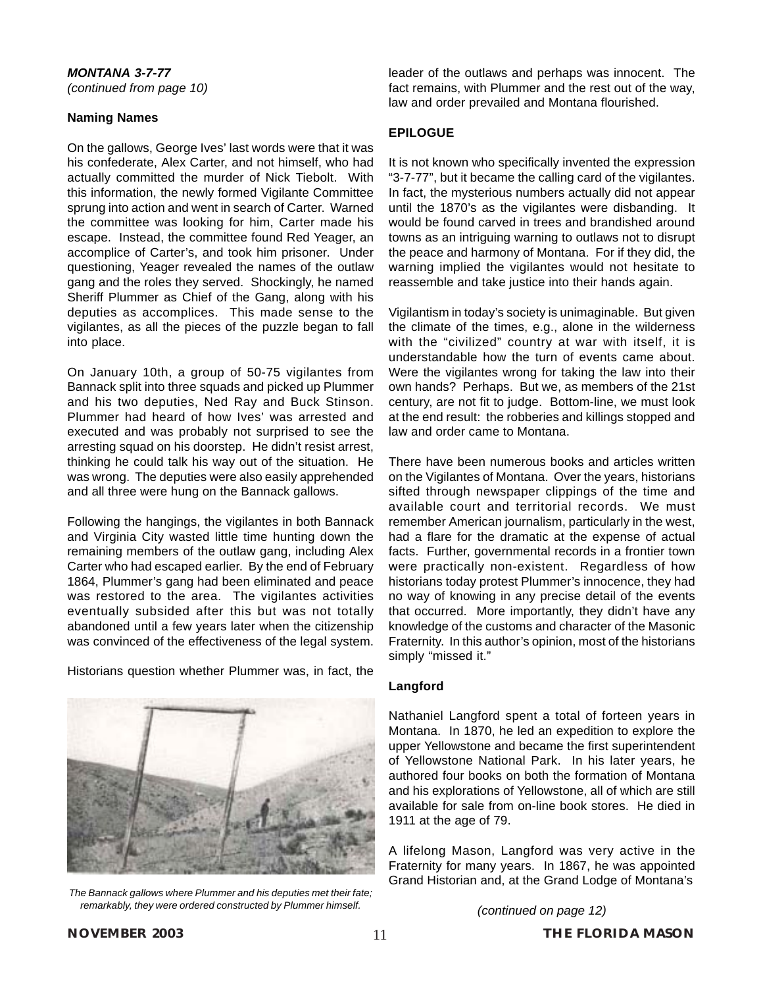### **Naming Names**

On the gallows, George Ives' last words were that it was his confederate, Alex Carter, and not himself, who had actually committed the murder of Nick Tiebolt. With this information, the newly formed Vigilante Committee sprung into action and went in search of Carter. Warned the committee was looking for him, Carter made his escape. Instead, the committee found Red Yeager, an accomplice of Carter's, and took him prisoner. Under questioning, Yeager revealed the names of the outlaw gang and the roles they served. Shockingly, he named Sheriff Plummer as Chief of the Gang, along with his deputies as accomplices. This made sense to the vigilantes, as all the pieces of the puzzle began to fall into place.

On January 10th, a group of 50-75 vigilantes from Bannack split into three squads and picked up Plummer and his two deputies, Ned Ray and Buck Stinson. Plummer had heard of how Ives' was arrested and executed and was probably not surprised to see the arresting squad on his doorstep. He didn't resist arrest, thinking he could talk his way out of the situation. He was wrong. The deputies were also easily apprehended and all three were hung on the Bannack gallows.

Following the hangings, the vigilantes in both Bannack and Virginia City wasted little time hunting down the remaining members of the outlaw gang, including Alex Carter who had escaped earlier. By the end of February 1864, Plummer's gang had been eliminated and peace was restored to the area. The vigilantes activities eventually subsided after this but was not totally abandoned until a few years later when the citizenship was convinced of the effectiveness of the legal system.

Historians question whether Plummer was, in fact, the



*The Bannack gallows where Plummer and his deputies met their fate; remarkably, they were ordered constructed by Plummer himself.*

leader of the outlaws and perhaps was innocent. The fact remains, with Plummer and the rest out of the way, law and order prevailed and Montana flourished.

### **EPILOGUE**

It is not known who specifically invented the expression "3-7-77", but it became the calling card of the vigilantes. In fact, the mysterious numbers actually did not appear until the 1870's as the vigilantes were disbanding. It would be found carved in trees and brandished around towns as an intriguing warning to outlaws not to disrupt the peace and harmony of Montana. For if they did, the warning implied the vigilantes would not hesitate to reassemble and take justice into their hands again.

Vigilantism in today's society is unimaginable. But given the climate of the times, e.g., alone in the wilderness with the "civilized" country at war with itself, it is understandable how the turn of events came about. Were the vigilantes wrong for taking the law into their own hands? Perhaps. But we, as members of the 21st century, are not fit to judge. Bottom-line, we must look at the end result: the robberies and killings stopped and law and order came to Montana.

There have been numerous books and articles written on the Vigilantes of Montana. Over the years, historians sifted through newspaper clippings of the time and available court and territorial records. We must remember American journalism, particularly in the west, had a flare for the dramatic at the expense of actual facts. Further, governmental records in a frontier town were practically non-existent. Regardless of how historians today protest Plummer's innocence, they had no way of knowing in any precise detail of the events that occurred. More importantly, they didn't have any knowledge of the customs and character of the Masonic Fraternity. In this author's opinion, most of the historians simply "missed it."

### **Langford**

Nathaniel Langford spent a total of forteen years in Montana. In 1870, he led an expedition to explore the upper Yellowstone and became the first superintendent of Yellowstone National Park. In his later years, he authored four books on both the formation of Montana and his explorations of Yellowstone, all of which are still available for sale from on-line book stores. He died in 1911 at the age of 79.

A lifelong Mason, Langford was very active in the Fraternity for many years. In 1867, he was appointed Grand Historian and, at the Grand Lodge of Montana's

*(continued on page 12)*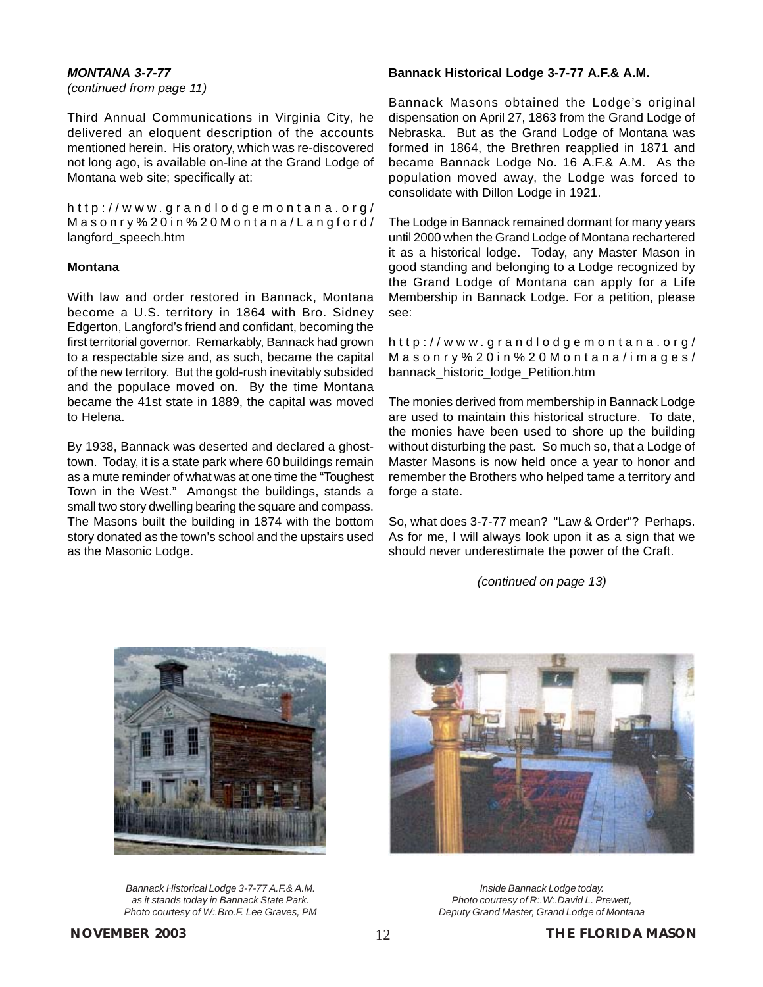*(continued from page 11)*

Third Annual Communications in Virginia City, he delivered an eloquent description of the accounts mentioned herein. His oratory, which was re-discovered not long ago, is available on-line at the Grand Lodge of Montana web site; specifically at:

http://www.grandlodgemontana.org/ Masonry%20in%20Montana/Langford/ langford\_speech.htm

### **Montana**

With law and order restored in Bannack, Montana become a U.S. territory in 1864 with Bro. Sidney Edgerton, Langford's friend and confidant, becoming the first territorial governor. Remarkably, Bannack had grown to a respectable size and, as such, became the capital of the new territory. But the gold-rush inevitably subsided and the populace moved on. By the time Montana became the 41st state in 1889, the capital was moved to Helena.

By 1938, Bannack was deserted and declared a ghosttown. Today, it is a state park where 60 buildings remain as a mute reminder of what was at one time the "Toughest Town in the West." Amongst the buildings, stands a small two story dwelling bearing the square and compass. The Masons built the building in 1874 with the bottom story donated as the town's school and the upstairs used as the Masonic Lodge.

### **Bannack Historical Lodge 3-7-77 A.F.& A.M.**

Bannack Masons obtained the Lodge's original dispensation on April 27, 1863 from the Grand Lodge of Nebraska. But as the Grand Lodge of Montana was formed in 1864, the Brethren reapplied in 1871 and became Bannack Lodge No. 16 A.F.& A.M. As the population moved away, the Lodge was forced to consolidate with Dillon Lodge in 1921.

The Lodge in Bannack remained dormant for many years until 2000 when the Grand Lodge of Montana rechartered it as a historical lodge. Today, any Master Mason in good standing and belonging to a Lodge recognized by the Grand Lodge of Montana can apply for a Life Membership in Bannack Lodge. For a petition, please see:

http://www.grandlodgemontana.org/ Masonry%20in%20Montana/images/ bannack\_historic\_lodge\_Petition.htm

The monies derived from membership in Bannack Lodge are used to maintain this historical structure. To date, the monies have been used to shore up the building without disturbing the past. So much so, that a Lodge of Master Masons is now held once a year to honor and remember the Brothers who helped tame a territory and forge a state.

So, what does 3-7-77 mean? "Law & Order"? Perhaps. As for me, I will always look upon it as a sign that we should never underestimate the power of the Craft.

*(continued on page 13)*



*Bannack Historical Lodge 3-7-77 A.F.& A.M. as it stands today in Bannack State Park. Photo courtesy of [W:.Bro.F. Lee Graves, PM](#page-13-0)*



*Inside Bannack Lodge today. Photo courtesy of R:.W:.David L. Prewett, Deputy Grand Master, Grand Lodge of Montana*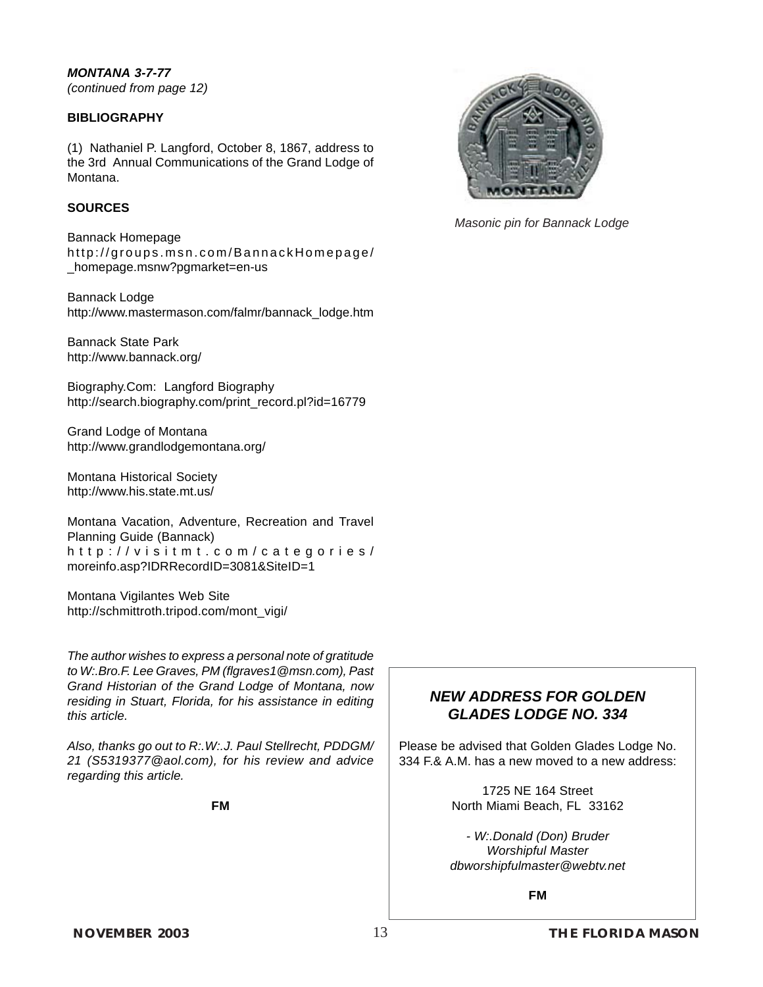<span id="page-13-0"></span>*MONTANA 3-7-77 (continued from page 12)*

### **BIBLIOGRAPHY**

(1) Nathaniel P. Langford, October 8, 1867, address to the 3rd Annual Communications of the Grand Lodge of Montana.

### **SOURCES**

Bannack Homepage http://groups.msn.com/BannackHomepage/ \_homepage.msnw?pgmarket=en-us

Bannack Lodge http://www.mastermason.com/falmr/bannack\_lodge.htm

Bannack State Park http://www.bannack.org/

Biography.Com: Langford Biography http://search.biography.com/print\_record.pl?id=16779

Grand Lodge of Montana http://www.grandlodgemontana.org/

Montana Historical Society http://www.his.state.mt.us/

Montana Vacation, Adventure, Recreation and Travel Planning Guide (Bannack) http://visitmt.com/categories/ moreinfo.asp?IDRRecordID=3081&SiteID=1

Montana Vigilantes Web Site http://schmittroth.tripod.com/mont\_vigi/

*The author wishes to express a personal note of gratitude to W:.Bro.F. Lee Graves, PM (flgraves1@msn.com), Past Grand Historian of the Grand Lodge of Montana, now residing in Stuart, Florida, for his assistance in editing this article.*

*Also, thanks go out to R:.W:.J. Paul Stellrecht, PDDGM/ 21 (S5319377@aol.com), for his review and advice regarding this article.*

**FM**



*Masonic pin for Bannack Lodge*

### *NEW ADDRESS FOR GOLDEN GLADES LODGE NO. 334*

Please be advised that Golden Glades Lodge No. 334 F.& A.M. has a new moved to a new address:

> 1725 NE 164 Street North Miami Beach, FL 33162

*- W:.Donald (Don) Bruder Worshipful Master dbworshipfulmaster@webtv.net*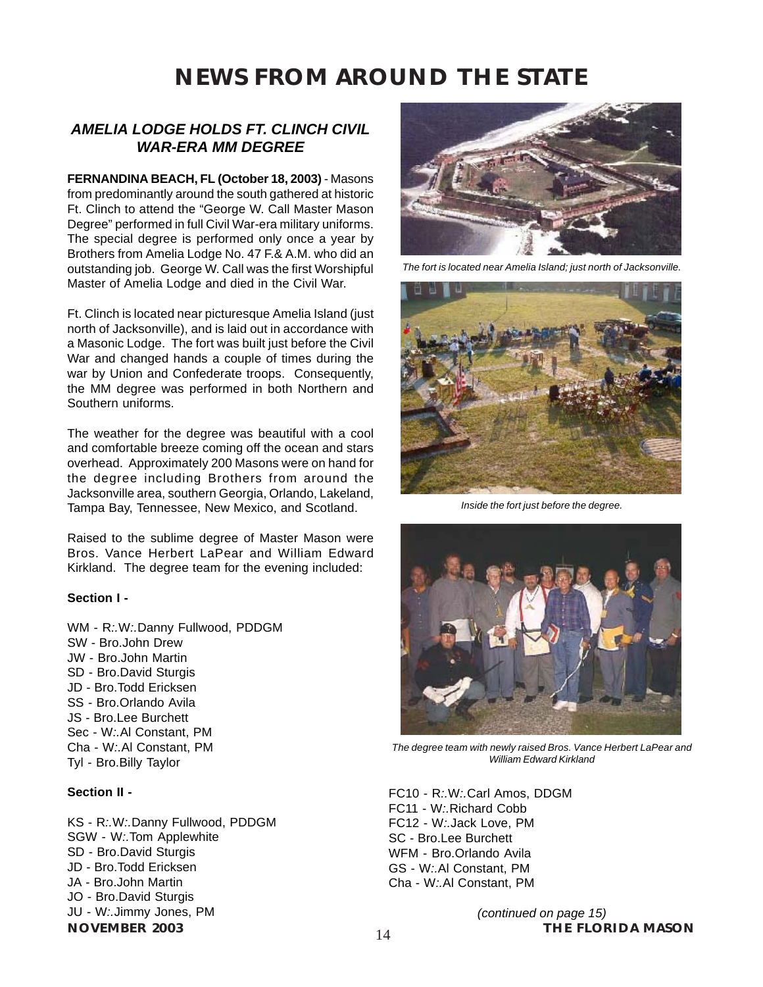### *AMELIA LODGE HOLDS FT. CLINCH CIVIL WAR-ERA MM DEGREE*

**FERNANDINA BEACH, FL (October 18, 2003)** - Masons from predominantly around the south gathered at historic Ft. Clinch to attend the "George W. Call Master Mason Degree" performed in full Civil War-era military uniforms. The special degree is performed only once a year by Brothers from Amelia Lodge No. 47 F.& A.M. who did an outstanding job. George W. Call was the first Worshipful Master of Amelia Lodge and died in the Civil War.

Ft. Clinch is located near picturesque Amelia Island (just north of Jacksonville), and is laid out in accordance with a Masonic Lodge. The fort was built just before the Civil War and changed hands a couple of times during the war by Union and Confederate troops. Consequently, the MM degree was performed in both Northern and Southern uniforms.

The weather for the degree was beautiful with a cool and comfortable breeze coming off the ocean and stars overhead. Approximately 200 Masons were on hand for the degree including Brothers from around the Jacksonville area, southern Georgia, Orlando, Lakeland, Tampa Bay, Tennessee, New Mexico, and Scotland.

Raised to the sublime degree of Master Mason were Bros. Vance Herbert LaPear and William Edward Kirkland. The degree team for the evening included:

### **Section I -**

WM - R*:.*W*:.*Danny Fullwood, PDDGM SW - Bro.John Drew JW - Bro.John Martin SD - Bro.David Sturgis JD - Bro.Todd Ericksen SS - Bro.Orlando Avila JS - Bro.Lee Burchett Sec - W*:.*Al Constant, PM Cha - W*:.*Al Constant, PM Tyl - Bro.Billy Taylor

### **Section II -**

KS - R*:.*W*:.*Danny Fullwood, PDDGM SGW - W*:.*Tom Applewhite SD - Bro.David Sturgis JD - Bro.Todd Ericksen JA - Bro.John Martin JO - Bro.David Sturgis JU - W*:.*Jimmy Jones, PM



*The fort is located near Amelia Island; just north of Jacksonville.*



*Inside the fort just before the degree.*



*The degree team with newly raised Bros. Vance Herbert LaPear and William Edward Kirkland*

FC10 - R*:.*W*:.*Carl Amos, DDGM FC11 - W*:.*Richard Cobb FC12 - W*:.*Jack Love, PM SC - Bro.Lee Burchett WFM - Bro.Orlando Avila GS - W*:.*Al Constant, PM Cha - W*:.*Al Constant, PM

**NOVEMBER 2003 14 14 THE FLORIDA MASON** *(continued on page 15)*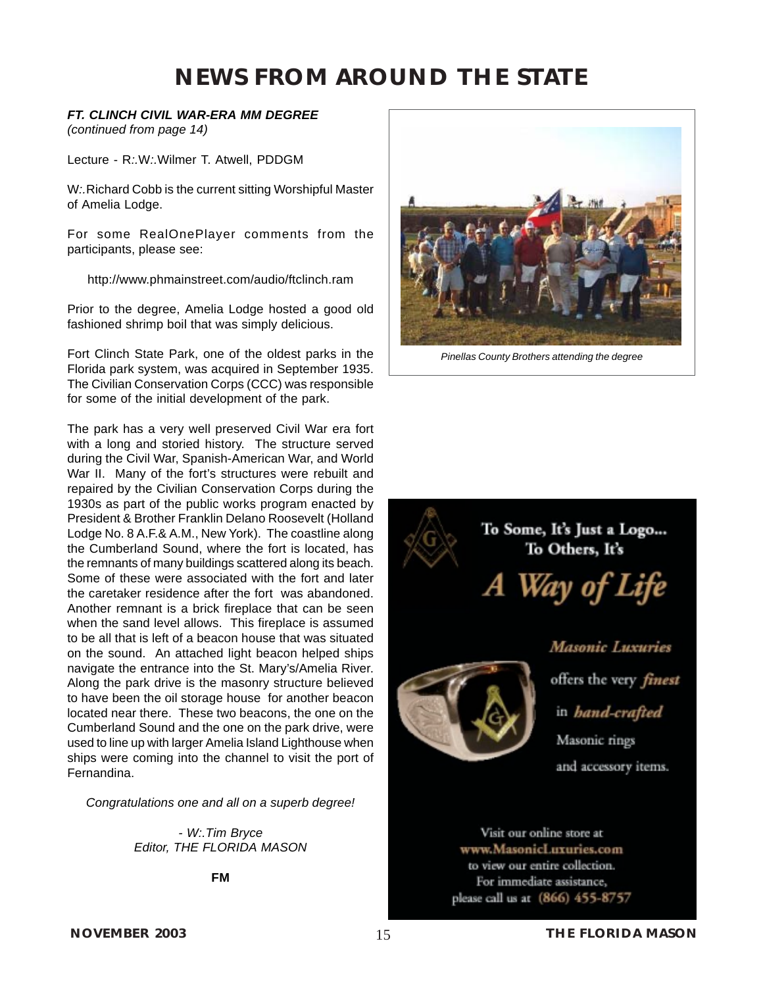### *FT. CLINCH CIVIL WAR-ERA MM DEGREE*

*(continued from page 14)*

Lecture - R*:.*W*:.*Wilmer T. Atwell, PDDGM

W*:.*Richard Cobb is the current sitting Worshipful Master of Amelia Lodge.

For some RealOnePlayer comments from the participants, please see:

http://www.phmainstreet.com/audio/ftclinch.ram

Prior to the degree, Amelia Lodge hosted a good old fashioned shrimp boil that was simply delicious.

Fort Clinch State Park, one of the oldest parks in the Florida park system, was acquired in September 1935. The Civilian Conservation Corps (CCC) was responsible for some of the initial development of the park.

The park has a very well preserved Civil War era fort with a long and storied history. The structure served during the Civil War, Spanish-American War, and World War II. Many of the fort's structures were rebuilt and repaired by the Civilian Conservation Corps during the 1930s as part of the public works program enacted by President & Brother Franklin Delano Roosevelt (Holland Lodge No. 8 A.F.& A.M., New York). The coastline along the Cumberland Sound, where the fort is located, has the remnants of many buildings scattered along its beach. Some of these were associated with the fort and later the caretaker residence after the fort was abandoned. Another remnant is a brick fireplace that can be seen when the sand level allows. This fireplace is assumed to be all that is left of a beacon house that was situated on the sound. An attached light beacon helped ships navigate the entrance into the St. Mary's/Amelia River. Along the park drive is the masonry structure believed to have been the oil storage house for another beacon located near there. These two beacons, the one on the Cumberland Sound and the one on the park drive, were used to line up with larger Amelia Island Lighthouse when ships were coming into the channel to visit the port of Fernandina.

*Congratulations one and all on a superb degree!*

*- [W:.Tim Bryce](mailto:timb001@attglobal.net) Editor, THE FLORIDA MASON*

**FM**



*Pinellas County Brothers attending the degree*



Visit our online store at www.MasonicLuxuries.com to view our entire collection. For immediate assistance, please call us at (866) 455-8757

**NOVEMBER 2003** 15 **15 THE FLORIDA MASON**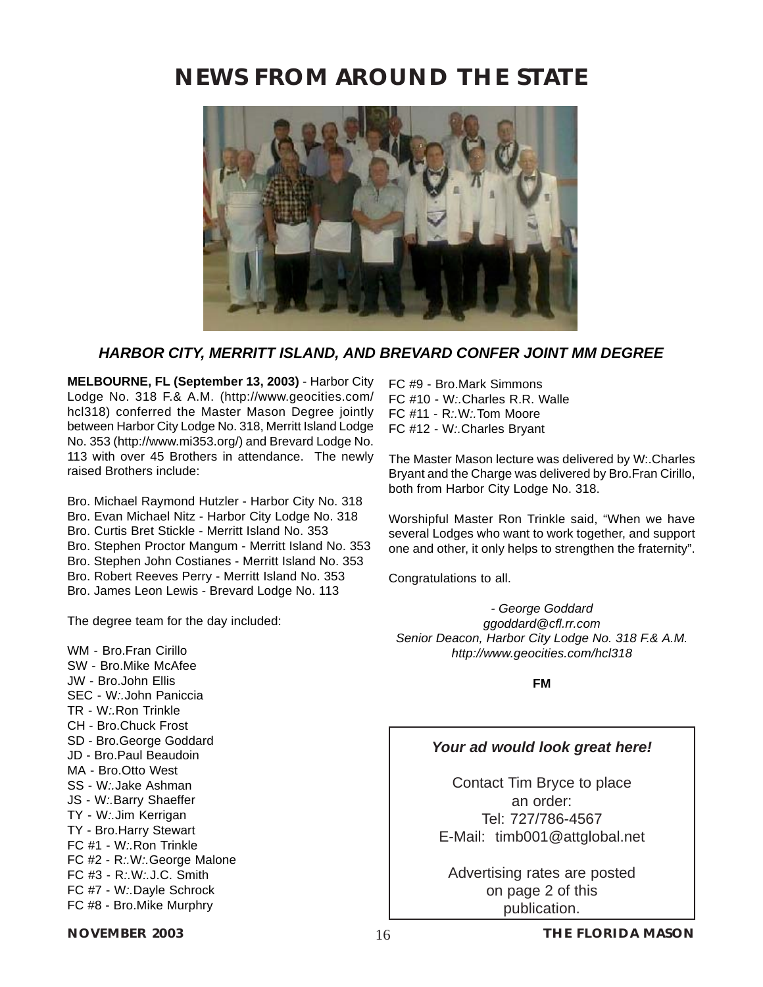

### *HARBOR CITY, MERRITT ISLAND, AND BREVARD CONFER JOINT MM DEGREE*

**MELBOURNE, FL (September 13, 2003)** - Harbor City Lodge No. 318 F.& A.M. (http://www.geocities.com/ hcl318) conferred the Master Mason Degree jointly between Harbor City Lodge No. 318, Merritt Island Lodge No. 353 (http://www.mi353.org/) and Brevard Lodge No. 113 with over 45 Brothers in attendance. The newly raised Brothers include:

Bro. Michael Raymond Hutzler - Harbor City No. 318 Bro. Evan Michael Nitz - Harbor City Lodge No. 318 Bro. Curtis Bret Stickle - Merritt Island No. 353 Bro. Stephen Proctor Mangum - Merritt Island No. 353 Bro. Stephen John Costianes - Merritt Island No. 353 Bro. Robert Reeves Perry - Merritt Island No. 353 Bro. James Leon Lewis - Brevard Lodge No. 113

The degree team for the day included:

WM - Bro.Fran Cirillo SW - Bro.Mike McAfee JW - Bro.John Ellis SEC - W*:.*John Paniccia TR - W*:.*Ron Trinkle CH - Bro.Chuck Frost SD - Bro.George Goddard JD - Bro.Paul Beaudoin MA - Bro.Otto West SS - W*:.*Jake Ashman JS - W*:.*Barry Shaeffer TY - W*:.*Jim Kerrigan TY - Bro.Harry Stewart FC #1 - W*:.*Ron Trinkle FC #2 - R*:.*W*:.*George Malone FC #3 - R*:.*W*:.*J.C. Smith FC #7 - W*:.*Dayle Schrock FC #8 - Bro.Mike Murphry

FC #9 - Bro.Mark Simmons FC #10 - W*:.*Charles R.R. Walle FC #11 - R*:.*W*:.*Tom Moore FC #12 - W*:.*Charles Bryant

The Master Mason lecture was delivered by W:.Charles Bryant and the Charge was delivered by Bro.Fran Cirillo, both from Harbor City Lodge No. 318.

Worshipful Master Ron Trinkle said, "When we have several Lodges who want to work together, and support one and other, it only helps to strengthen the fraternity".

Congratulations to all.

*- George Goddard ggoddard@cfl.rr.com Senior Deacon, Harbor City Lodge No. 318 F.& A.M. http://www.geocities.com/hcl318*

**FM**

### *Your ad would look great here!*

Contact Tim Bryce to place an order: Tel: 727/786-4567 E-Mail: [timb001@attglobal.net](mailto:timb001@attglobal.net)

Advertising rates are posted on page 2 of this publication.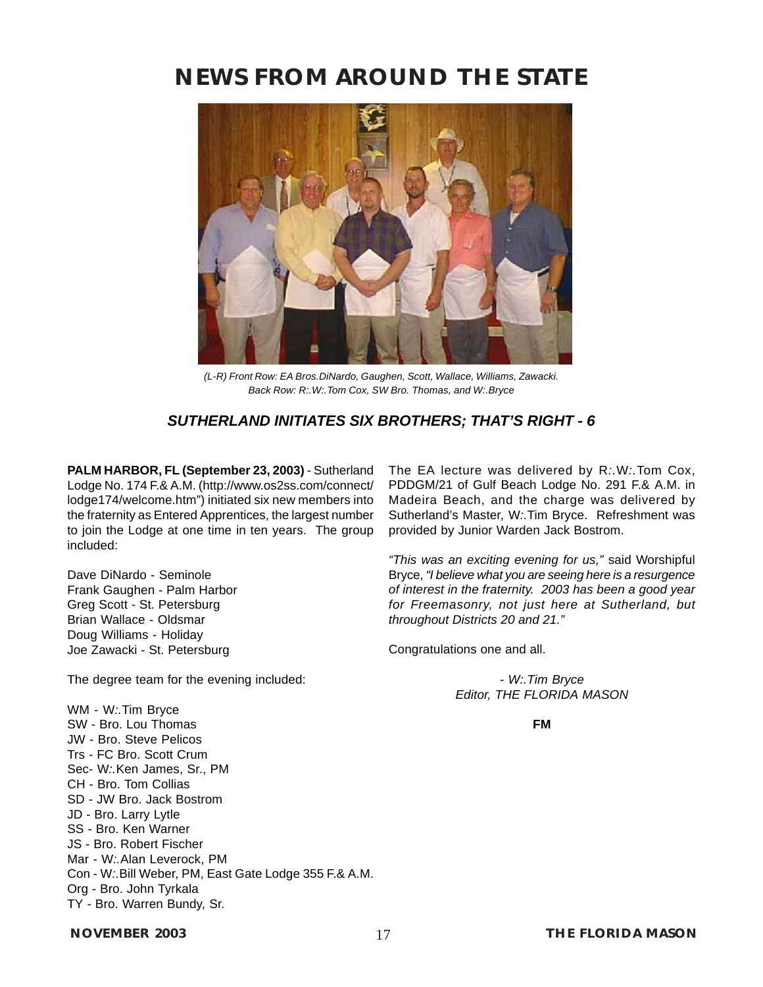<span id="page-17-0"></span>

*(L-R) Front Row: EA Bros.DiNardo, Gaughen, Scott, Wallace, Williams, Zawacki. Back Row: R:.W:.Tom Cox, SW Bro. Thomas, and W:.Bryce*

### *SUTHERLAND INITIATES SIX BROTHERS; THAT'S RIGHT - 6*

**PALM HARBOR, FL (September 23, 2003)** - [Sutherland](#page-4-0) [Lodge No. 174 F.& A.M. \(http://www.os2ss.com/connect/](#page-4-0) [lodge174/welcome.htm"\)](#page-4-0) initiated six new members into the fraternity as Entered Apprentices, the largest number to join the Lodge at one time in ten years. The group included:

Dave DiNardo - Seminole Frank Gaughen - Palm Harbor Greg Scott - St. Petersburg Brian Wallace - Oldsmar Doug Williams - Holiday Joe Zawacki - St. Petersburg

The degree team for the evening included:

WM - W*:.*Tim Bryce SW - Bro. Lou Thomas JW - Bro. Steve Pelicos Trs - FC Bro. Scott Crum Sec- W*:.*Ken James, Sr., PM CH - Bro. Tom Collias SD - JW Bro. Jack Bostrom JD - Bro. Larry Lytle SS - Bro. Ken Warner JS - Bro. Robert Fischer Mar - W*:.*Alan Leverock, PM Con - W*:.*Bill Weber, PM, East Gate Lodge 355 F.& A.M. Org - Bro. John Tyrkala TY - Bro. Warren Bundy, Sr.

The EA lecture was delivered by R*:.*W*:.*Tom Cox, PDDGM/21 of Gulf Beach Lodge No. 291 F.& A.M. in Madeira Beach, and the charge was delivered by Sutherland's Master, W*:.*Tim Bryce. Refreshment was provided by Junior Warden Jack Bostrom.

*"This was an exciting evening for us,"* said Worshipful Bryce, *"I believe what you are seeing here is a resurgence of interest in the fraternity. 2003 has been a good year for Freemasonry, not just here at Sutherland, but throughout Districts 20 and 21."*

Congratulations one and all.

*[- W:.Tim Bryce](mailto:timb001@attglobal.net) [Editor, THE FLORIDA MASON](mailto:timb001@attglobal.net)*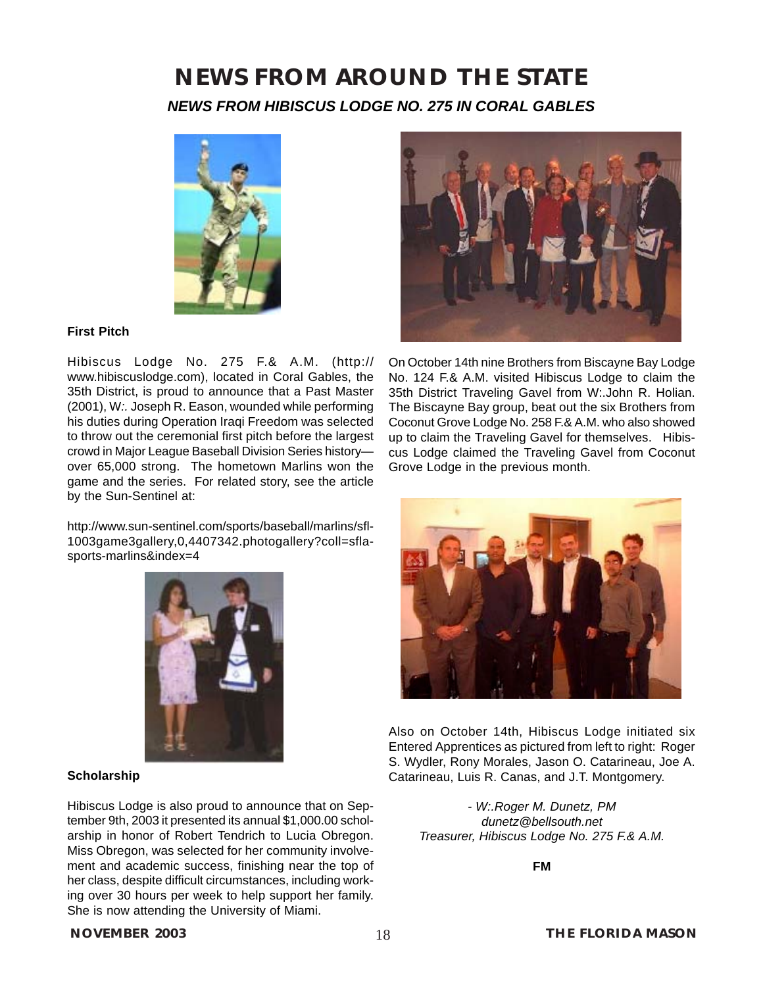### **NEWS FROM AROUND THE STATE** *NEWS FROM HIBISCUS LODGE NO. 275 IN CORAL GABLES*



### **First Pitch**

Hibiscus Lodge No. 275 F.& A.M. (http:// www.hibiscuslodge.com), located in Coral Gables, the 35th District, is proud to announce that a Past Master (2001), W*:.* Joseph R. Eason, wounded while performing his duties during Operation Iraqi Freedom was selected to throw out the ceremonial first pitch before the largest crowd in Major League Baseball Division Series history over 65,000 strong. The hometown Marlins won the game and the series. For related story, see the article by the Sun-Sentinel at:

http://www.sun-sentinel.com/sports/baseball/marlins/sfl-1003game3gallery,0,4407342.photogallery?coll=sflasports-marlins&index=4



On October 14th nine Brothers from Biscayne Bay Lodge No. 124 F.& A.M. visited Hibiscus Lodge to claim the 35th District Traveling Gavel from W:.John R. Holian. The Biscayne Bay group, beat out the six Brothers from Coconut Grove Lodge No. 258 F.& A.M. who also showed up to claim the Traveling Gavel for themselves. Hibiscus Lodge claimed the Traveling Gavel from Coconut Grove Lodge in the previous month.



Also on October 14th, Hibiscus Lodge initiated six Entered Apprentices as pictured from left to right: Roger S. Wydler, Rony Morales, Jason O. Catarineau, Joe A. Catarineau, Luis R. Canas, and J.T. Montgomery.

*- W:.Roger M. Dunetz, PM dunetz@bellsouth.net Treasurer, Hibiscus Lodge No. 275 F.& A.M.*

**FM**

### **Scholarship**

Hibiscus Lodge is also proud to announce that on September 9th, 2003 it presented its annual \$1,000.00 scholarship in honor of Robert Tendrich to Lucia Obregon. Miss Obregon, was selected for her community involvement and academic success, finishing near the top of her class, despite difficult circumstances, including working over 30 hours per week to help support her family. She is now attending the University of Miami.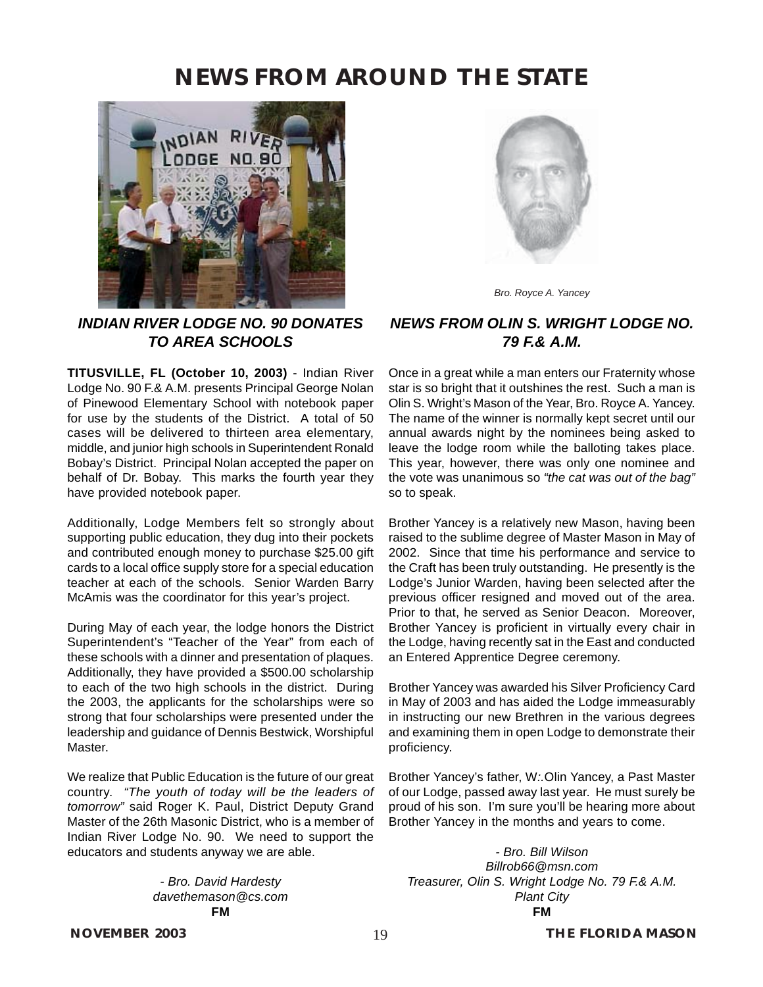

*INDIAN RIVER LODGE NO. 90 DONATES TO AREA SCHOOLS*

**TITUSVILLE, FL (October 10, 2003)** - Indian River Lodge No. 90 F.& A.M. presents Principal George Nolan of Pinewood Elementary School with notebook paper for use by the students of the District. A total of 50 cases will be delivered to thirteen area elementary, middle, and junior high schools in Superintendent Ronald Bobay's District. Principal Nolan accepted the paper on behalf of Dr. Bobay. This marks the fourth year they have provided notebook paper.

Additionally, Lodge Members felt so strongly about supporting public education, they dug into their pockets and contributed enough money to purchase \$25.00 gift cards to a local office supply store for a special education teacher at each of the schools. Senior Warden Barry McAmis was the coordinator for this year's project.

During May of each year, the lodge honors the District Superintendent's "Teacher of the Year" from each of these schools with a dinner and presentation of plaques. Additionally, they have provided a \$500.00 scholarship to each of the two high schools in the district. During the 2003, the applicants for the scholarships were so strong that four scholarships were presented under the leadership and guidance of Dennis Bestwick, Worshipful Master.

We realize that Public Education is the future of our great country. *"The youth of today will be the leaders of tomorrow"* said Roger K. Paul, District Deputy Grand Master of the 26th Masonic District, who is a member of Indian River Lodge No. 90. We need to support the educators and students anyway we are able.

> *- Bro. David Hardesty davethemason@cs.com* **FM**



*Bro. Royce A. Yancey*

### *NEWS FROM OLIN S. WRIGHT LODGE NO. 79 F.& A.M.*

Once in a great while a man enters our Fraternity whose star is so bright that it outshines the rest. Such a man is Olin S. Wright's Mason of the Year, Bro. Royce A. Yancey. The name of the winner is normally kept secret until our annual awards night by the nominees being asked to leave the lodge room while the balloting takes place. This year, however, there was only one nominee and the vote was unanimous so *"the cat was out of the bag"* so to speak.

Brother Yancey is a relatively new Mason, having been raised to the sublime degree of Master Mason in May of 2002. Since that time his performance and service to the Craft has been truly outstanding. He presently is the Lodge's Junior Warden, having been selected after the previous officer resigned and moved out of the area. Prior to that, he served as Senior Deacon. Moreover, Brother Yancey is proficient in virtually every chair in the Lodge, having recently sat in the East and conducted an Entered Apprentice Degree ceremony.

Brother Yancey was awarded his Silver Proficiency Card in May of 2003 and has aided the Lodge immeasurably in instructing our new Brethren in the various degrees and examining them in open Lodge to demonstrate their proficiency.

Brother Yancey's father, W*:.*Olin Yancey, a Past Master of our Lodge, passed away last year. He must surely be proud of his son. I'm sure you'll be hearing more about Brother Yancey in the months and years to come.

*- Bro. Bill Wilson Billrob66@msn.com Treasurer, Olin S. Wright Lodge No. 79 F.& A.M. Plant City* **FM**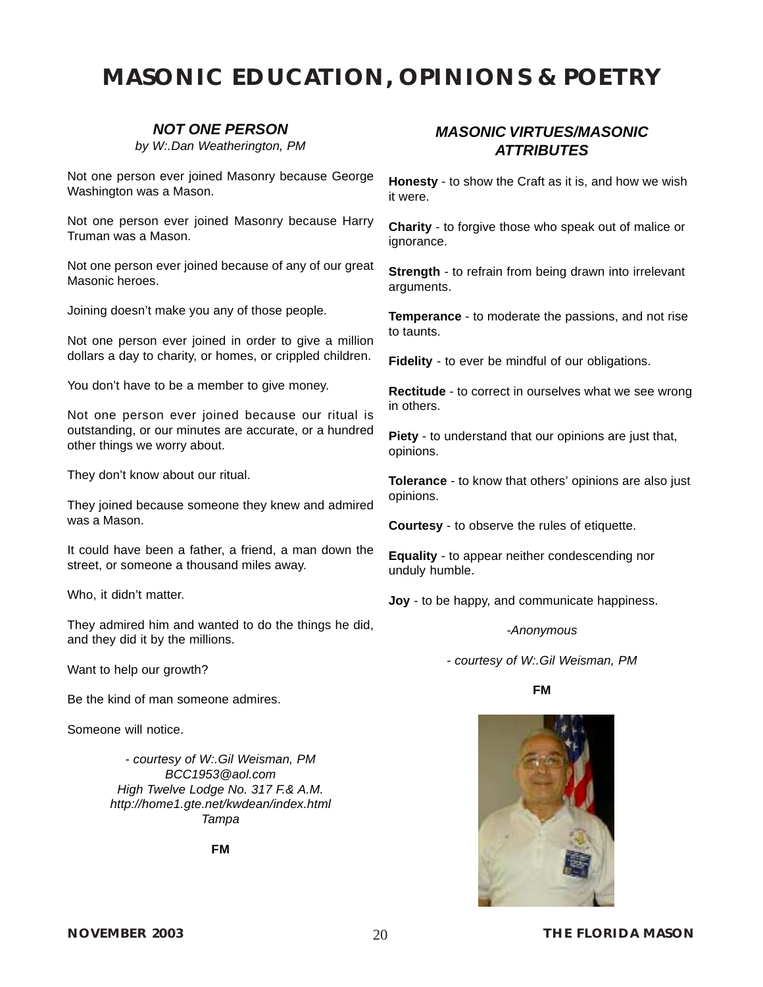### *NOT ONE PERSON*

*by W:.Dan Weatherington, PM*

<span id="page-20-0"></span>Not one person ever joined Masonry because George Washington was a Mason.

Not one person ever joined Masonry because Harry Truman was a Mason.

Not one person ever joined because of any of our great Masonic heroes.

Joining doesn't make you any of those people.

Not one person ever joined in order to give a million dollars a day to charity, or homes, or crippled children.

You don't have to be a member to give money.

Not one person ever joined because our ritual is outstanding, or our minutes are accurate, or a hundred other things we worry about.

They don't know about our ritual.

They joined because someone they knew and admired was a Mason.

It could have been a father, a friend, a man down the street, or someone a thousand miles away.

Who, it didn't matter.

They admired him and wanted to do the things he did, and they did it by the millions.

Want to help our growth?

Be the kind of man someone admires.

Someone will notice.

*- courtesy of [W:.Gil Weisman, PM](mailto:BCC1953@aol.com) [BCC1953@aol.com](mailto:BCC1953@aol.com) High Twelve Lodge No. 317 F.& A.M. http://home1.gte.net/kwdean/index.html Tampa*

**FM**

### *MASONIC VIRTUES/MASONIC ATTRIBUTES*

**Honesty** - to show the Craft as it is, and how we wish it were.

**Charity** - to forgive those who speak out of malice or ignorance.

**Strength** - to refrain from being drawn into irrelevant arguments.

**Temperance** - to moderate the passions, and not rise to taunts.

**Fidelity** - to ever be mindful of our obligations.

**Rectitude** - to correct in ourselves what we see wrong in others.

**Piety** - to understand that our opinions are just that, opinions.

**Tolerance** - to know that others' opinions are also just opinions.

**Courtesy** - to observe the rules of etiquette.

**Equality** - to appear neither condescending nor unduly humble.

**Joy** - to be happy, and communicate happiness.

### *-Anonymous*

*- courtesy of W:.Gil Weisman, PM*

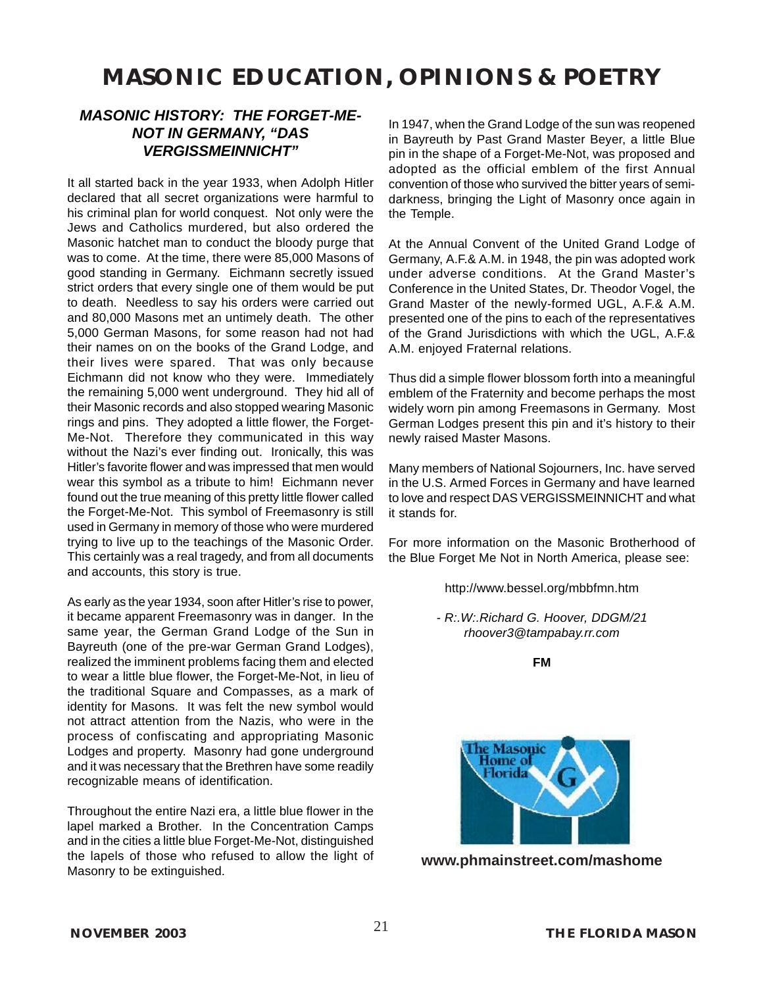### *MASONIC HISTORY: THE FORGET-ME-NOT IN GERMANY, "DAS VERGISSMEINNICHT"*

It all started back in the year 1933, when Adolph Hitler declared that all secret organizations were harmful to his criminal plan for world conquest. Not only were the Jews and Catholics murdered, but also ordered the Masonic hatchet man to conduct the bloody purge that was to come. At the time, there were 85,000 Masons of good standing in Germany. Eichmann secretly issued strict orders that every single one of them would be put to death. Needless to say his orders were carried out and 80,000 Masons met an untimely death. The other 5,000 German Masons, for some reason had not had their names on on the books of the Grand Lodge, and their lives were spared. That was only because Eichmann did not know who they were. Immediately the remaining 5,000 went underground. They hid all of their Masonic records and also stopped wearing Masonic rings and pins. They adopted a little flower, the Forget-Me-Not. Therefore they communicated in this way without the Nazi's ever finding out. Ironically, this was Hitler's favorite flower and was impressed that men would wear this symbol as a tribute to him! Eichmann never found out the true meaning of this pretty little flower called the Forget-Me-Not. This symbol of Freemasonry is still used in Germany in memory of those who were murdered trying to live up to the teachings of the Masonic Order. This certainly was a real tragedy, and from all documents and accounts, this story is true.

As early as the year 1934, soon after Hitler's rise to power, it became apparent Freemasonry was in danger. In the same year, the German Grand Lodge of the Sun in Bayreuth (one of the pre-war German Grand Lodges), realized the imminent problems facing them and elected to wear a little blue flower, the Forget-Me-Not, in lieu of the traditional Square and Compasses, as a mark of identity for Masons. It was felt the new symbol would not attract attention from the Nazis, who were in the process of confiscating and appropriating Masonic Lodges and property. Masonry had gone underground and it was necessary that the Brethren have some readily recognizable means of identification.

Throughout the entire Nazi era, a little blue flower in the lapel marked a Brother. In the Concentration Camps and in the cities a little blue Forget-Me-Not, distinguished the lapels of those who refused to allow the light of Masonry to be extinguished.

In 1947, when the Grand Lodge of the sun was reopened in Bayreuth by Past Grand Master Beyer, a little Blue pin in the shape of a Forget-Me-Not, was proposed and adopted as the official emblem of the first Annual convention of those who survived the bitter years of semidarkness, bringing the Light of Masonry once again in the Temple.

At the Annual Convent of the United Grand Lodge of Germany, A.F.& A.M. in 1948, the pin was adopted work under adverse conditions. At the Grand Master's Conference in the United States, Dr. Theodor Vogel, the Grand Master of the newly-formed UGL, A.F.& A.M. presented one of the pins to each of the representatives of the Grand Jurisdictions with which the UGL, A.F.& A.M. enjoyed Fraternal relations.

Thus did a simple flower blossom forth into a meaningful emblem of the Fraternity and become perhaps the most widely worn pin among Freemasons in Germany. Most German Lodges present this pin and it's history to their newly raised Master Masons.

Many members of National Sojourners, Inc. have served in the U.S. Armed Forces in Germany and have learned to love and respect DAS VERGISSMEINNICHT and what it stands for.

For more information on the Masonic Brotherhood of the Blue Forget Me Not in North America, please see:

<http://www.bessel.org/mbbfmn.htm>

*- R:.W:.Richard G. Hoover, DDGM/21 rhoover3@tampabay.rr.com*

**FM**



**[www.phmainstreet.com/mashome](#page-612-0)**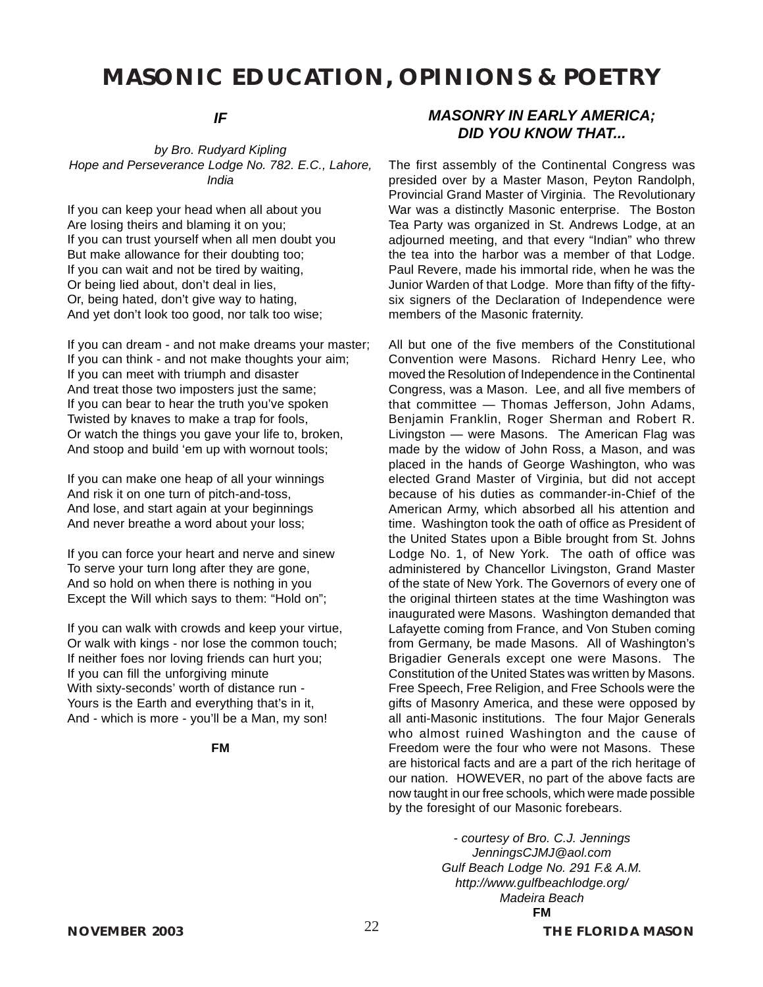### *IF*

*by Bro. Rudyard Kipling Hope and Perseverance Lodge No. 782. E.C., Lahore, India*

If you can keep your head when all about you Are losing theirs and blaming it on you; If you can trust yourself when all men doubt you But make allowance for their doubting too; If you can wait and not be tired by waiting, Or being lied about, don't deal in lies, Or, being hated, don't give way to hating, And yet don't look too good, nor talk too wise;

If you can dream - and not make dreams your master; If you can think - and not make thoughts your aim; If you can meet with triumph and disaster And treat those two imposters just the same; If you can bear to hear the truth you've spoken Twisted by knaves to make a trap for fools, Or watch the things you gave your life to, broken, And stoop and build 'em up with wornout tools;

If you can make one heap of all your winnings And risk it on one turn of pitch-and-toss, And lose, and start again at your beginnings And never breathe a word about your loss;

If you can force your heart and nerve and sinew To serve your turn long after they are gone, And so hold on when there is nothing in you Except the Will which says to them: "Hold on";

If you can walk with crowds and keep your virtue, Or walk with kings - nor lose the common touch; If neither foes nor loving friends can hurt you; If you can fill the unforgiving minute With sixty-seconds' worth of distance run - Yours is the Earth and everything that's in it, And - which is more - you'll be a Man, my son!

### **FM**

The first assembly of the Continental Congress was presided over by a Master Mason, Peyton Randolph, Provincial Grand Master of Virginia. The Revolutionary War was a distinctly Masonic enterprise. The Boston Tea Party was organized in St. Andrews Lodge, at an adjourned meeting, and that every "Indian" who threw the tea into the harbor was a member of that Lodge. Paul Revere, made his immortal ride, when he was the Junior Warden of that Lodge. More than fifty of the fiftysix signers of the Declaration of Independence were members of the Masonic fraternity.

All but one of the five members of the Constitutional Convention were Masons. Richard Henry Lee, who moved the Resolution of Independence in the Continental Congress, was a Mason. Lee, and all five members of that committee — Thomas Jefferson, John Adams, Benjamin Franklin, Roger Sherman and Robert R. Livingston — were Masons. The American Flag was made by the widow of John Ross, a Mason, and was placed in the hands of George Washington, who was elected Grand Master of Virginia, but did not accept because of his duties as commander-in-Chief of the American Army, which absorbed all his attention and time. Washington took the oath of office as President of the United States upon a Bible brought from St. Johns Lodge No. 1, of New York. The oath of office was administered by Chancellor Livingston, Grand Master of the state of New York. The Governors of every one of the original thirteen states at the time Washington was inaugurated were Masons. Washington demanded that Lafayette coming from France, and Von Stuben coming from Germany, be made Masons. All of Washington's Brigadier Generals except one were Masons. The Constitution of the United States was written by Masons. Free Speech, Free Religion, and Free Schools were the gifts of Masonry America, and these were opposed by all anti-Masonic institutions. The four Major Generals who almost ruined Washington and the cause of Freedom were the four who were not Masons. These are historical facts and are a part of the rich heritage of our nation. HOWEVER, no part of the above facts are now taught in our free schools, which were made possible by the foresight of our Masonic forebears.

> *- courtesy of Bro. C.J. Jennings JenningsCJMJ@aol.com [Gulf Beach Lodge No. 291 F.& A.M.](#page-17-0) [http://www.gulfbeachlodge.org/](#page-17-0) Madeira Beach* **FM**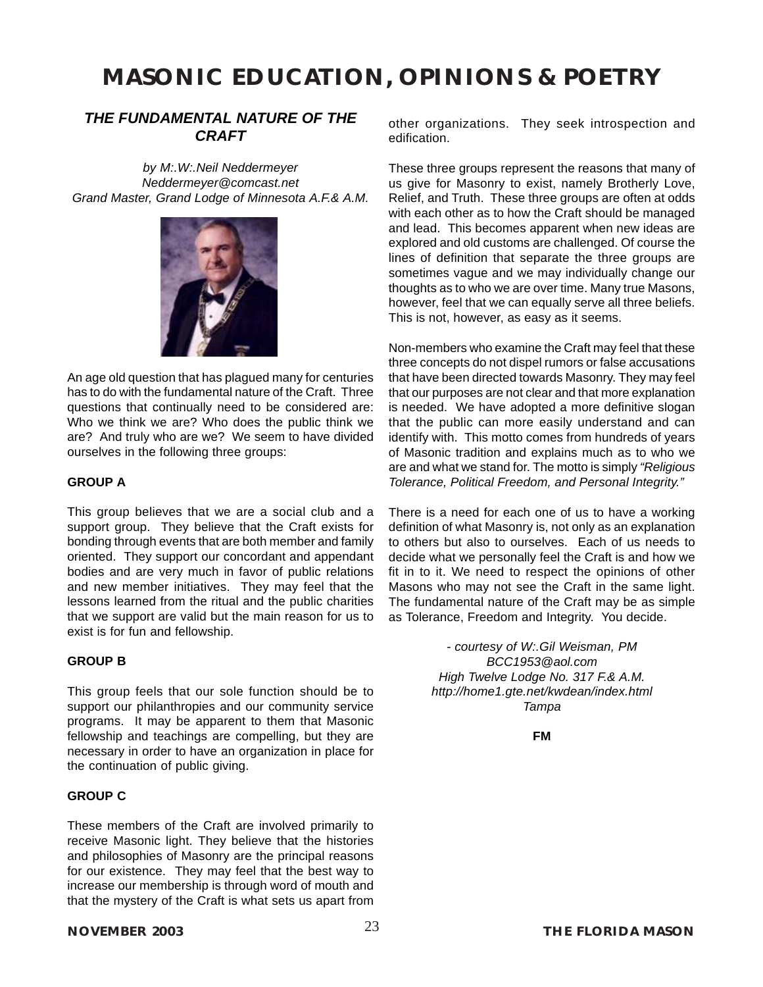### *THE FUNDAMENTAL NATURE OF THE CRAFT*

*by M:.W:.Neil Neddermeyer Neddermeyer@comcast.net Grand Master, Grand Lodge of Minnesota A.F.& A.M.*



An age old question that has plagued many for centuries has to do with the fundamental nature of the Craft. Three questions that continually need to be considered are: Who we think we are? Who does the public think we are? And truly who are we? We seem to have divided ourselves in the following three groups:

### **GROUP A**

This group believes that we are a social club and a support group. They believe that the Craft exists for bonding through events that are both member and family oriented. They support our concordant and appendant bodies and are very much in favor of public relations and new member initiatives. They may feel that the lessons learned from the ritual and the public charities that we support are valid but the main reason for us to exist is for fun and fellowship.

### **GROUP B**

This group feels that our sole function should be to support our philanthropies and our community service programs. It may be apparent to them that Masonic fellowship and teachings are compelling, but they are necessary in order to have an organization in place for the continuation of public giving.

### **GROUP C**

These members of the Craft are involved primarily to receive Masonic light. They believe that the histories and philosophies of Masonry are the principal reasons for our existence. They may feel that the best way to increase our membership is through word of mouth and that the mystery of the Craft is what sets us apart from other organizations. They seek introspection and edification.

These three groups represent the reasons that many of us give for Masonry to exist, namely Brotherly Love, Relief, and Truth. These three groups are often at odds with each other as to how the Craft should be managed and lead. This becomes apparent when new ideas are explored and old customs are challenged. Of course the lines of definition that separate the three groups are sometimes vague and we may individually change our thoughts as to who we are over time. Many true Masons, however, feel that we can equally serve all three beliefs. This is not, however, as easy as it seems.

Non-members who examine the Craft may feel that these three concepts do not dispel rumors or false accusations that have been directed towards Masonry. They may feel that our purposes are not clear and that more explanation is needed. We have adopted a more definitive slogan that the public can more easily understand and can identify with. This motto comes from hundreds of years of Masonic tradition and explains much as to who we are and what we stand for. The motto is simply *"Religious Tolerance, Political Freedom, and Personal Integrity."*

There is a need for each one of us to have a working definition of what Masonry is, not only as an explanation to others but also to ourselves. Each of us needs to decide what we personally feel the Craft is and how we fit in to it. We need to respect the opinions of other Masons who may not see the Craft in the same light. The fundamental nature of the Craft may be as simple as Tolerance, Freedom and Integrity. You decide.

> *- courtesy of [W:.Gil Weisman, PM](mailto:BCC1953@aol.com) [BCC1953@aol.com](mailto:BCC1953@aol.com) [High Twelve Lodge No. 317 F.& A.M.](#page-20-0) [http://home1.gte.net/kwdean/index.html](#page-20-0) Tampa*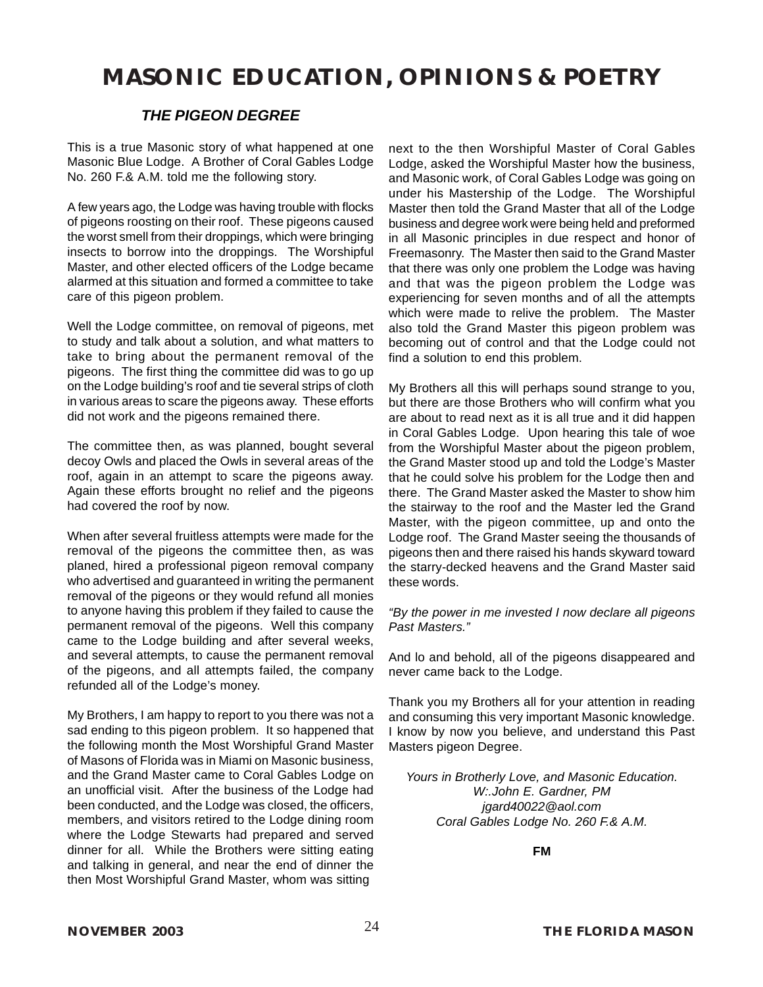### *THE PIGEON DEGREE*

This is a true Masonic story of what happened at one Masonic Blue Lodge. A Brother of Coral Gables Lodge No. 260 F.& A.M. told me the following story.

A few years ago, the Lodge was having trouble with flocks of pigeons roosting on their roof. These pigeons caused the worst smell from their droppings, which were bringing insects to borrow into the droppings. The Worshipful Master, and other elected officers of the Lodge became alarmed at this situation and formed a committee to take care of this pigeon problem.

Well the Lodge committee, on removal of pigeons, met to study and talk about a solution, and what matters to take to bring about the permanent removal of the pigeons. The first thing the committee did was to go up on the Lodge building's roof and tie several strips of cloth in various areas to scare the pigeons away. These efforts did not work and the pigeons remained there.

The committee then, as was planned, bought several decoy Owls and placed the Owls in several areas of the roof, again in an attempt to scare the pigeons away. Again these efforts brought no relief and the pigeons had covered the roof by now.

When after several fruitless attempts were made for the removal of the pigeons the committee then, as was planed, hired a professional pigeon removal company who advertised and guaranteed in writing the permanent removal of the pigeons or they would refund all monies to anyone having this problem if they failed to cause the permanent removal of the pigeons. Well this company came to the Lodge building and after several weeks, and several attempts, to cause the permanent removal of the pigeons, and all attempts failed, the company refunded all of the Lodge's money.

My Brothers, I am happy to report to you there was not a sad ending to this pigeon problem. It so happened that the following month the Most Worshipful Grand Master of Masons of Florida was in Miami on Masonic business, and the Grand Master came to Coral Gables Lodge on an unofficial visit. After the business of the Lodge had been conducted, and the Lodge was closed, the officers, members, and visitors retired to the Lodge dining room where the Lodge Stewarts had prepared and served dinner for all. While the Brothers were sitting eating and talking in general, and near the end of dinner the then Most Worshipful Grand Master, whom was sitting

next to the then Worshipful Master of Coral Gables Lodge, asked the Worshipful Master how the business, and Masonic work, of Coral Gables Lodge was going on under his Mastership of the Lodge. The Worshipful Master then told the Grand Master that all of the Lodge business and degree work were being held and preformed in all Masonic principles in due respect and honor of Freemasonry. The Master then said to the Grand Master that there was only one problem the Lodge was having and that was the pigeon problem the Lodge was experiencing for seven months and of all the attempts which were made to relive the problem. The Master also told the Grand Master this pigeon problem was becoming out of control and that the Lodge could not find a solution to end this problem.

My Brothers all this will perhaps sound strange to you, but there are those Brothers who will confirm what you are about to read next as it is all true and it did happen in Coral Gables Lodge. Upon hearing this tale of woe from the Worshipful Master about the pigeon problem, the Grand Master stood up and told the Lodge's Master that he could solve his problem for the Lodge then and there. The Grand Master asked the Master to show him the stairway to the roof and the Master led the Grand Master, with the pigeon committee, up and onto the Lodge roof. The Grand Master seeing the thousands of pigeons then and there raised his hands skyward toward the starry-decked heavens and the Grand Master said these words.

### *"By the power in me invested I now declare all pigeons Past Masters."*

And lo and behold, all of the pigeons disappeared and never came back to the Lodge.

Thank you my Brothers all for your attention in reading and consuming this very important Masonic knowledge. I know by now you believe, and understand this Past Masters pigeon Degree.

*Yours in Brotherly Love, and Masonic Education. W:.John E. Gardner, PM jgard40022@aol.com Coral Gables Lodge No. 260 F.& A.M.*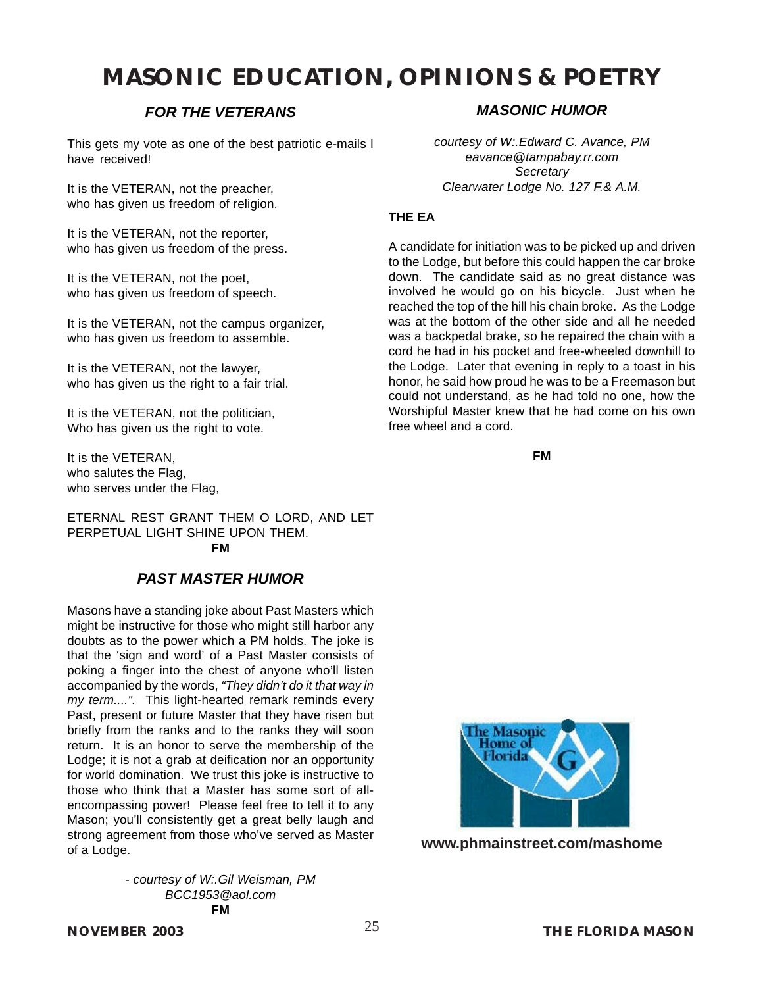### *FOR THE VETERANS*

This gets my vote as one of the best patriotic e-mails I have received!

It is the VETERAN, not the preacher, who has given us freedom of religion.

It is the VETERAN, not the reporter, who has given us freedom of the press.

It is the VETERAN, not the poet, who has given us freedom of speech.

It is the VETERAN, not the campus organizer, who has given us freedom to assemble.

It is the VETERAN, not the lawyer, who has given us the right to a fair trial.

It is the VETERAN, not the politician, Who has given us the right to vote.

It is the VETERAN, who salutes the Flag, who serves under the Flag,

ETERNAL REST GRANT THEM O LORD, AND LET PERPETUAL LIGHT SHINE UPON THEM. **FM**

### *PAST MASTER HUMOR*

Masons have a standing joke about Past Masters which might be instructive for those who might still harbor any doubts as to the power which a PM holds. The joke is that the 'sign and word' of a Past Master consists of poking a finger into the chest of anyone who'll listen accompanied by the words, *"They didn't do it that way in my term....".* This light-hearted remark reminds every Past, present or future Master that they have risen but briefly from the ranks and to the ranks they will soon return. It is an honor to serve the membership of the Lodge; it is not a grab at deification nor an opportunity for world domination. We trust this joke is instructive to those who think that a Master has some sort of allencompassing power! Please feel free to tell it to any Mason; you'll consistently get a great belly laugh and strong agreement from those who've served as Master of a Lodge.

> *- courtesy of [W:.Gil Weisman, PM](mailto:BCC1953@aol.com) [BCC1953@aol.com](mailto:BCC1953@aol.com)* **FM**

### *MASONIC HUMOR*

*courtesy of W:.Edward C. Avance, PM eavance@tampabay.rr.com Secretary Clearwater Lodge No. 127 F.& A.M.*

### **THE EA**

A candidate for initiation was to be picked up and driven to the Lodge, but before this could happen the car broke down. The candidate said as no great distance was involved he would go on his bicycle. Just when he reached the top of the hill his chain broke. As the Lodge was at the bottom of the other side and all he needed was a backpedal brake, so he repaired the chain with a cord he had in his pocket and free-wheeled downhill to the Lodge. Later that evening in reply to a toast in his honor, he said how proud he was to be a Freemason but could not understand, as he had told no one, how the Worshipful Master knew that he had come on his own free wheel and a cord.

**FM**



**www.phmainstreet.com/mashome**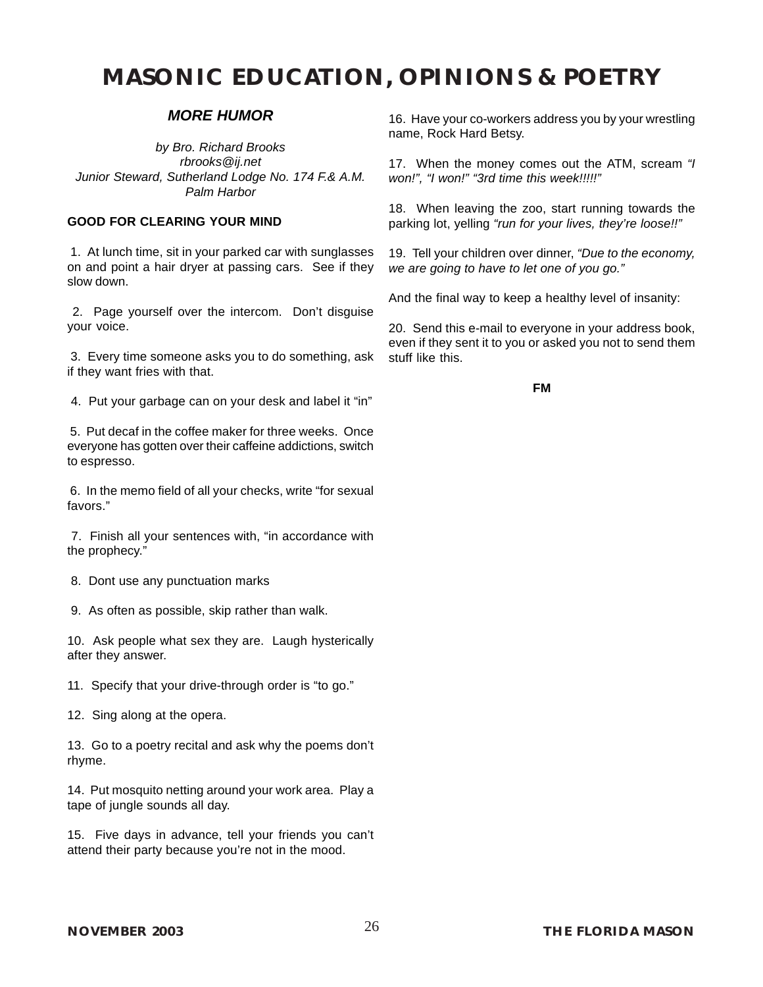### *MORE HUMOR*

*by Bro. Richard Brooks rbrooks@ij.net Junior Steward, [Sutherland Lodge No. 174 F.& A.M.](#page-4-0) Palm Harbor*

### **GOOD FOR CLEARING YOUR MIND**

 1. At lunch time, sit in your parked car with sunglasses on and point a hair dryer at passing cars. See if they slow down.

 2. Page yourself over the intercom. Don't disguise your voice.

 3. Every time someone asks you to do something, ask if they want fries with that.

4. Put your garbage can on your desk and label it "in"

 5. Put decaf in the coffee maker for three weeks. Once everyone has gotten over their caffeine addictions, switch to espresso.

 6. In the memo field of all your checks, write "for sexual favors."

 7. Finish all your sentences with, "in accordance with the prophecy."

8. Dont use any punctuation marks

9. As often as possible, skip rather than walk.

10. Ask people what sex they are. Laugh hysterically after they answer.

11. Specify that your drive-through order is "to go."

12. Sing along at the opera.

13. Go to a poetry recital and ask why the poems don't rhyme.

14. Put mosquito netting around your work area. Play a tape of jungle sounds all day.

15. Five days in advance, tell your friends you can't attend their party because you're not in the mood.

16. Have your co-workers address you by your wrestling name, Rock Hard Betsy.

17. When the money comes out the ATM, scream *"I won!", "I won!" "3rd time this week!!!!!"*

18. When leaving the zoo, start running towards the parking lot, yelling *"run for your lives, they're loose!!"*

19. Tell your children over dinner, *"Due to the economy, we are going to have to let one of you go."*

And the final way to keep a healthy level of insanity:

20. Send this e-mail to everyone in your address book, even if they sent it to you or asked you not to send them stuff like this.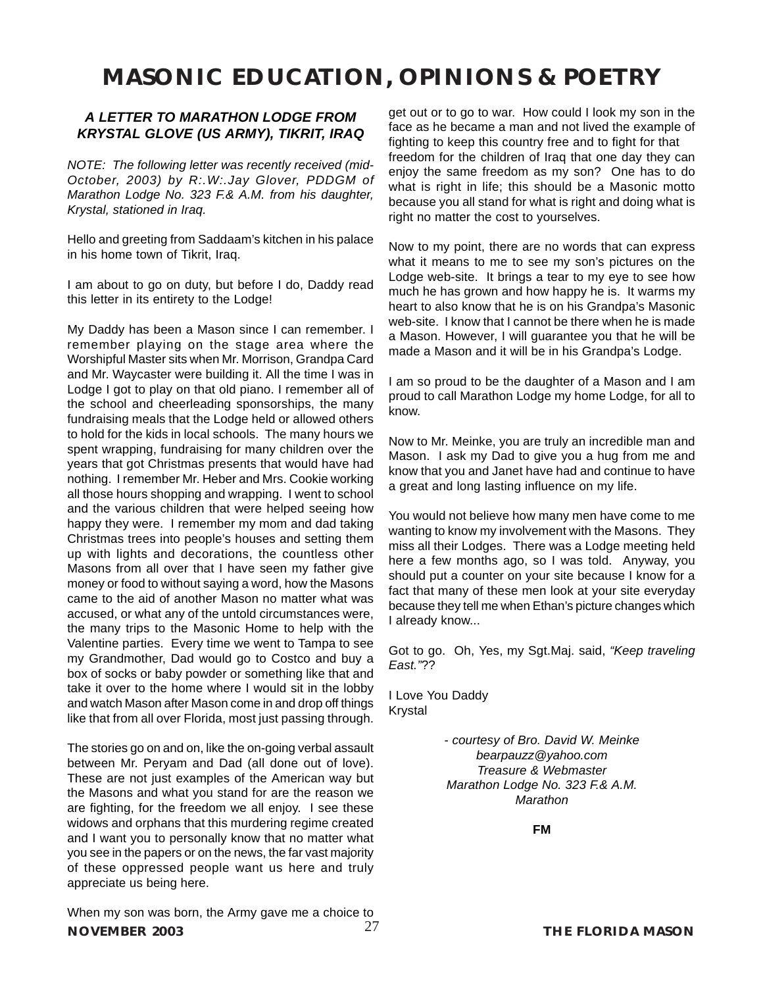### *A LETTER TO MARATHON LODGE FROM KRYSTAL GLOVE (US ARMY), TIKRIT, IRAQ*

*NOTE: The following letter was recently received (mid-October, 2003) by R:.W:.Jay Glover, PDDGM of Marathon Lodge No. 323 F.& A.M. from his daughter, Krystal, stationed in Iraq.*

Hello and greeting from Saddaam's kitchen in his palace in his home town of Tikrit, Iraq.

I am about to go on duty, but before I do, Daddy read this letter in its entirety to the Lodge!

My Daddy has been a Mason since I can remember. I remember playing on the stage area where the Worshipful Master sits when Mr. Morrison, Grandpa Card and Mr. Waycaster were building it. All the time I was in Lodge I got to play on that old piano. I remember all of the school and cheerleading sponsorships, the many fundraising meals that the Lodge held or allowed others to hold for the kids in local schools. The many hours we spent wrapping, fundraising for many children over the years that got Christmas presents that would have had nothing. I remember Mr. Heber and Mrs. Cookie working all those hours shopping and wrapping. I went to school and the various children that were helped seeing how happy they were. I remember my mom and dad taking Christmas trees into people's houses and setting them up with lights and decorations, the countless other Masons from all over that I have seen my father give money or food to without saying a word, how the Masons came to the aid of another Mason no matter what was accused, or what any of the untold circumstances were, the many trips to the Masonic Home to help with the Valentine parties. Every time we went to Tampa to see my Grandmother, Dad would go to Costco and buy a box of socks or baby powder or something like that and take it over to the home where I would sit in the lobby and watch Mason after Mason come in and drop off things like that from all over Florida, most just passing through.

The stories go on and on, like the on-going verbal assault between Mr. Peryam and Dad (all done out of love). These are not just examples of the American way but the Masons and what you stand for are the reason we are fighting, for the freedom we all enjoy. I see these widows and orphans that this murdering regime created and I want you to personally know that no matter what you see in the papers or on the news, the far vast majority of these oppressed people want us here and truly appreciate us being here.

**NOVEMBER 2003** 27 **THE FLORIDA MASON** When my son was born, the Army gave me a choice to

get out or to go to war. How could I look my son in the face as he became a man and not lived the example of fighting to keep this country free and to fight for that freedom for the children of Iraq that one day they can enjoy the same freedom as my son? One has to do what is right in life; this should be a Masonic motto because you all stand for what is right and doing what is right no matter the cost to yourselves.

Now to my point, there are no words that can express what it means to me to see my son's pictures on the Lodge web-site. It brings a tear to my eye to see how much he has grown and how happy he is. It warms my heart to also know that he is on his Grandpa's Masonic web-site. I know that I cannot be there when he is made a Mason. However, I will guarantee you that he will be made a Mason and it will be in his Grandpa's Lodge.

I am so proud to be the daughter of a Mason and I am proud to call Marathon Lodge my home Lodge, for all to know.

Now to Mr. Meinke, you are truly an incredible man and Mason. I ask my Dad to give you a hug from me and know that you and Janet have had and continue to have a great and long lasting influence on my life.

You would not believe how many men have come to me wanting to know my involvement with the Masons. They miss all their Lodges. There was a Lodge meeting held here a few months ago, so I was told. Anyway, you should put a counter on your site because I know for a fact that many of these men look at your site everyday because they tell me when Ethan's picture changes which I already know...

Got to go. Oh, Yes, my Sgt.Maj. said, *"Keep traveling East."*??

I Love You Daddy Krystal

> *- courtesy of Bro. David W. Meinke bearpauzz@yahoo.com Treasure & Webmaster Marathon Lodge No. 323 F.& A.M. Marathon*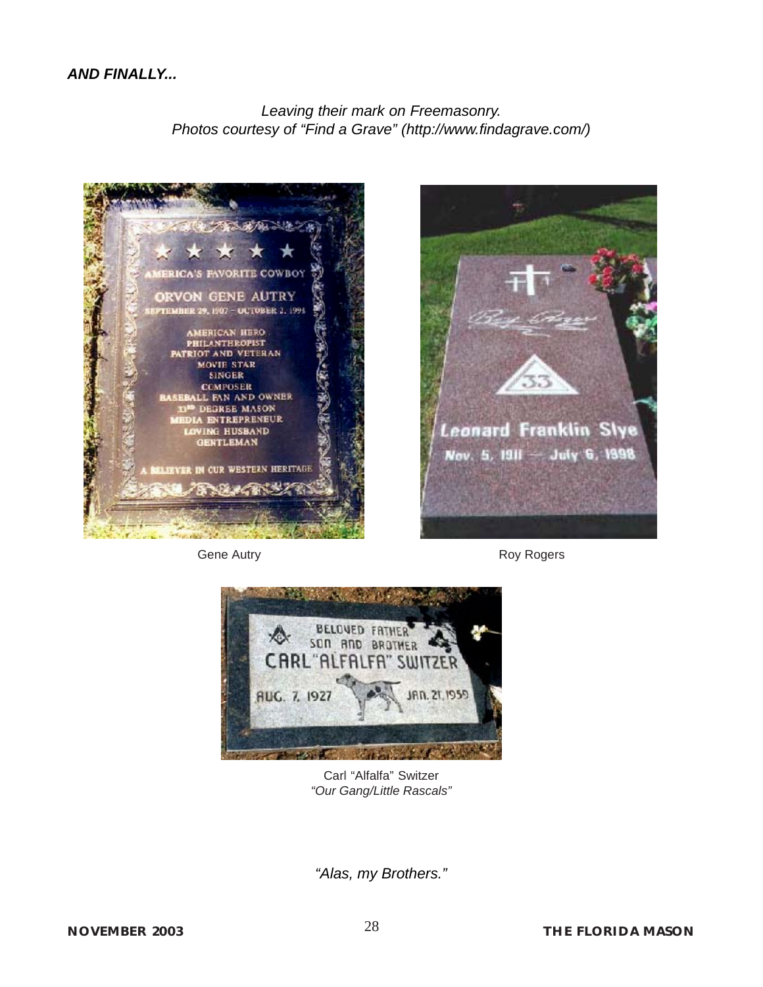*Leaving their mark on Freemasonry. Photos courtesy of "Find a Grave" (http://www.findagrave.com/)*





Gene Autry **Roy Rogers Roy Rogers** 



Carl "Alfalfa" Switzer *"Our Gang/Little Rascals"*

*"Alas, my Brothers."*